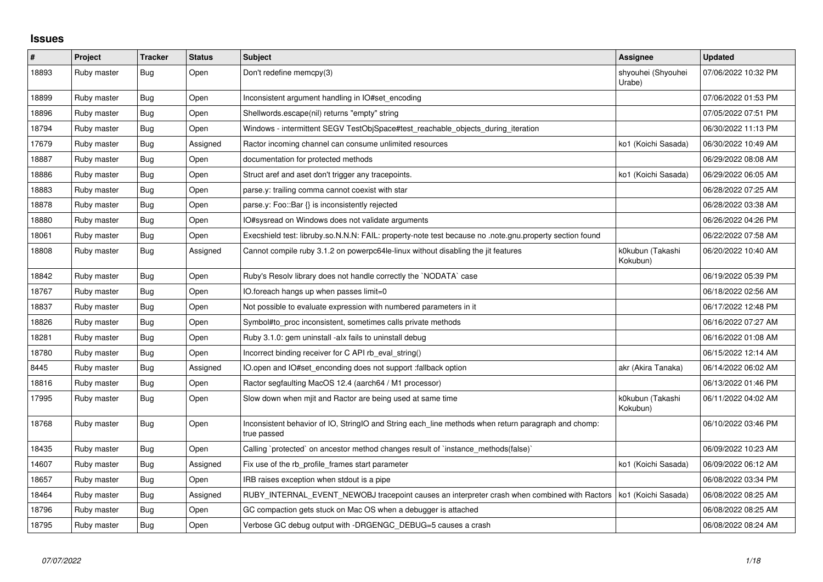## **Issues**

| $\#$  | Project     | <b>Tracker</b> | <b>Status</b> | <b>Subject</b>                                                                                                     | <b>Assignee</b>              | <b>Updated</b>      |
|-------|-------------|----------------|---------------|--------------------------------------------------------------------------------------------------------------------|------------------------------|---------------------|
| 18893 | Ruby master | Bug            | Open          | Don't redefine memcpy(3)                                                                                           | shyouhei (Shyouhei<br>Urabe) | 07/06/2022 10:32 PM |
| 18899 | Ruby master | <b>Bug</b>     | Open          | Inconsistent argument handling in IO#set_encoding                                                                  |                              | 07/06/2022 01:53 PM |
| 18896 | Ruby master | Bug            | Open          | Shellwords.escape(nil) returns "empty" string                                                                      |                              | 07/05/2022 07:51 PM |
| 18794 | Ruby master | <b>Bug</b>     | Open          | Windows - intermittent SEGV TestObjSpace#test_reachable_objects_during_iteration                                   |                              | 06/30/2022 11:13 PM |
| 17679 | Ruby master | Bug            | Assigned      | Ractor incoming channel can consume unlimited resources                                                            | ko1 (Koichi Sasada)          | 06/30/2022 10:49 AM |
| 18887 | Ruby master | Bug            | Open          | documentation for protected methods                                                                                |                              | 06/29/2022 08:08 AM |
| 18886 | Ruby master | Bug            | Open          | Struct aref and aset don't trigger any tracepoints.                                                                | ko1 (Koichi Sasada)          | 06/29/2022 06:05 AM |
| 18883 | Ruby master | <b>Bug</b>     | Open          | parse.y: trailing comma cannot coexist with star                                                                   |                              | 06/28/2022 07:25 AM |
| 18878 | Ruby master | Bug            | Open          | parse.y: Foo::Bar $\{\}$ is inconsistently rejected                                                                |                              | 06/28/2022 03:38 AM |
| 18880 | Ruby master | Bug            | Open          | IO#sysread on Windows does not validate arguments                                                                  |                              | 06/26/2022 04:26 PM |
| 18061 | Ruby master | Bug            | Open          | Execshield test: libruby.so.N.N.N: FAIL: property-note test because no .note.gnu.property section found            |                              | 06/22/2022 07:58 AM |
| 18808 | Ruby master | <b>Bug</b>     | Assigned      | Cannot compile ruby 3.1.2 on powerpc64le-linux without disabling the jit features                                  | k0kubun (Takashi<br>Kokubun) | 06/20/2022 10:40 AM |
| 18842 | Ruby master | Bug            | Open          | Ruby's Resolv library does not handle correctly the `NODATA` case                                                  |                              | 06/19/2022 05:39 PM |
| 18767 | Ruby master | Bug            | Open          | IO.foreach hangs up when passes limit=0                                                                            |                              | 06/18/2022 02:56 AM |
| 18837 | Ruby master | Bug            | Open          | Not possible to evaluate expression with numbered parameters in it                                                 |                              | 06/17/2022 12:48 PM |
| 18826 | Ruby master | <b>Bug</b>     | Open          | Symbol#to_proc inconsistent, sometimes calls private methods                                                       |                              | 06/16/2022 07:27 AM |
| 18281 | Ruby master | Bug            | Open          | Ruby 3.1.0: gem uninstall -alx fails to uninstall debug                                                            |                              | 06/16/2022 01:08 AM |
| 18780 | Ruby master | Bug            | Open          | Incorrect binding receiver for C API rb eval string()                                                              |                              | 06/15/2022 12:14 AM |
| 8445  | Ruby master | Bug            | Assigned      | IO.open and IO#set_enconding does not support :fallback option                                                     | akr (Akira Tanaka)           | 06/14/2022 06:02 AM |
| 18816 | Ruby master | Bug            | Open          | Ractor segfaulting MacOS 12.4 (aarch64 / M1 processor)                                                             |                              | 06/13/2022 01:46 PM |
| 17995 | Ruby master | Bug            | Open          | Slow down when mjit and Ractor are being used at same time                                                         | k0kubun (Takashi<br>Kokubun) | 06/11/2022 04:02 AM |
| 18768 | Ruby master | <b>Bug</b>     | Open          | Inconsistent behavior of IO, StringIO and String each_line methods when return paragraph and chomp:<br>true passed |                              | 06/10/2022 03:46 PM |
| 18435 | Ruby master | <b>Bug</b>     | Open          | Calling `protected` on ancestor method changes result of `instance_methods(false)`                                 |                              | 06/09/2022 10:23 AM |
| 14607 | Ruby master | Bug            | Assigned      | Fix use of the rb profile frames start parameter                                                                   | ko1 (Koichi Sasada)          | 06/09/2022 06:12 AM |
| 18657 | Ruby master | <b>Bug</b>     | Open          | IRB raises exception when stdout is a pipe                                                                         |                              | 06/08/2022 03:34 PM |
| 18464 | Ruby master | Bug            | Assigned      | RUBY_INTERNAL_EVENT_NEWOBJ tracepoint causes an interpreter crash when combined with Ractors                       | ko1 (Koichi Sasada)          | 06/08/2022 08:25 AM |
| 18796 | Ruby master | Bug            | Open          | GC compaction gets stuck on Mac OS when a debugger is attached                                                     |                              | 06/08/2022 08:25 AM |
| 18795 | Ruby master | Bug            | Open          | Verbose GC debug output with -DRGENGC DEBUG=5 causes a crash                                                       |                              | 06/08/2022 08:24 AM |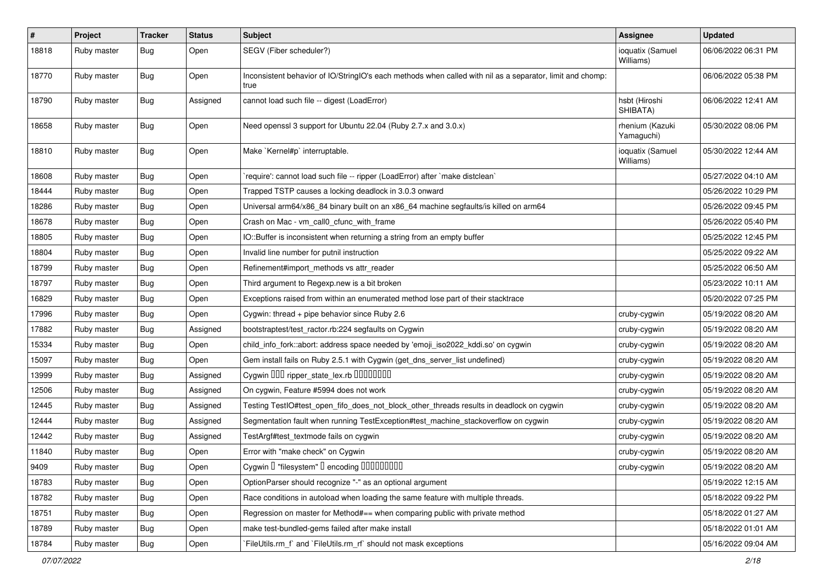| $\sharp$ | Project     | <b>Tracker</b> | <b>Status</b> | Subject                                                                                                           | <b>Assignee</b>               | <b>Updated</b>      |
|----------|-------------|----------------|---------------|-------------------------------------------------------------------------------------------------------------------|-------------------------------|---------------------|
| 18818    | Ruby master | <b>Bug</b>     | Open          | SEGV (Fiber scheduler?)                                                                                           | ioquatix (Samuel<br>Williams) | 06/06/2022 06:31 PM |
| 18770    | Ruby master | <b>Bug</b>     | Open          | Inconsistent behavior of IO/StringIO's each methods when called with nil as a separator, limit and chomp:<br>true |                               | 06/06/2022 05:38 PM |
| 18790    | Ruby master | Bug            | Assigned      | cannot load such file -- digest (LoadError)                                                                       | hsbt (Hiroshi<br>SHIBATA)     | 06/06/2022 12:41 AM |
| 18658    | Ruby master | Bug            | Open          | Need openssl 3 support for Ubuntu 22.04 (Ruby 2.7.x and 3.0.x)                                                    | rhenium (Kazuki<br>Yamaguchi) | 05/30/2022 08:06 PM |
| 18810    | Ruby master | <b>Bug</b>     | Open          | Make `Kernel#p` interruptable.                                                                                    | ioquatix (Samuel<br>Williams) | 05/30/2022 12:44 AM |
| 18608    | Ruby master | <b>Bug</b>     | Open          | 'require': cannot load such file -- ripper (LoadError) after `make distclean`                                     |                               | 05/27/2022 04:10 AM |
| 18444    | Ruby master | <b>Bug</b>     | Open          | Trapped TSTP causes a locking deadlock in 3.0.3 onward                                                            |                               | 05/26/2022 10:29 PM |
| 18286    | Ruby master | <b>Bug</b>     | Open          | Universal arm64/x86_84 binary built on an x86_64 machine segfaults/is killed on arm64                             |                               | 05/26/2022 09:45 PM |
| 18678    | Ruby master | <b>Bug</b>     | Open          | Crash on Mac - vm call0 cfunc with frame                                                                          |                               | 05/26/2022 05:40 PM |
| 18805    | Ruby master | Bug            | Open          | IO::Buffer is inconsistent when returning a string from an empty buffer                                           |                               | 05/25/2022 12:45 PM |
| 18804    | Ruby master | <b>Bug</b>     | Open          | Invalid line number for putnil instruction                                                                        |                               | 05/25/2022 09:22 AM |
| 18799    | Ruby master | Bug            | Open          | Refinement#import methods vs attr reader                                                                          |                               | 05/25/2022 06:50 AM |
| 18797    | Ruby master | <b>Bug</b>     | Open          | Third argument to Regexp.new is a bit broken                                                                      |                               | 05/23/2022 10:11 AM |
| 16829    | Ruby master | Bug            | Open          | Exceptions raised from within an enumerated method lose part of their stacktrace                                  |                               | 05/20/2022 07:25 PM |
| 17996    | Ruby master | Bug            | Open          | Cygwin: thread + pipe behavior since Ruby 2.6                                                                     | cruby-cygwin                  | 05/19/2022 08:20 AM |
| 17882    | Ruby master | <b>Bug</b>     | Assigned      | bootstraptest/test_ractor.rb:224 segfaults on Cygwin                                                              | cruby-cygwin                  | 05/19/2022 08:20 AM |
| 15334    | Ruby master | <b>Bug</b>     | Open          | child_info_fork::abort: address space needed by 'emoji_iso2022_kddi.so' on cygwin                                 | cruby-cygwin                  | 05/19/2022 08:20 AM |
| 15097    | Ruby master | Bug            | Open          | Gem install fails on Ruby 2.5.1 with Cygwin (get_dns_server_list undefined)                                       | cruby-cygwin                  | 05/19/2022 08:20 AM |
| 13999    | Ruby master | <b>Bug</b>     | Assigned      | Cygwin DDD ripper_state_lex.rb DDDDDDD                                                                            | cruby-cygwin                  | 05/19/2022 08:20 AM |
| 12506    | Ruby master | Bug            | Assigned      | On cygwin, Feature #5994 does not work                                                                            | cruby-cygwin                  | 05/19/2022 08:20 AM |
| 12445    | Ruby master | <b>Bug</b>     | Assigned      | Testing TestIO#test_open_fifo_does_not_block_other_threads results in deadlock on cygwin                          | cruby-cygwin                  | 05/19/2022 08:20 AM |
| 12444    | Ruby master | <b>Bug</b>     | Assigned      | Segmentation fault when running TestException#test_machine_stackoverflow on cygwin                                | cruby-cygwin                  | 05/19/2022 08:20 AM |
| 12442    | Ruby master | Bug            | Assigned      | TestArgf#test_textmode fails on cygwin                                                                            | cruby-cygwin                  | 05/19/2022 08:20 AM |
| 11840    | Ruby master | <b>Bug</b>     | Open          | Error with "make check" on Cygwin                                                                                 | cruby-cygwin                  | 05/19/2022 08:20 AM |
| 9409     | Ruby master | Bug            | Open          | Cygwin I "filesystem" I encoding IIIIIIIIIIIII                                                                    | cruby-cygwin                  | 05/19/2022 08:20 AM |
| 18783    | Ruby master | <b>Bug</b>     | Open          | OptionParser should recognize "-" as an optional argument                                                         |                               | 05/19/2022 12:15 AM |
| 18782    | Ruby master | Bug            | Open          | Race conditions in autoload when loading the same feature with multiple threads.                                  |                               | 05/18/2022 09:22 PM |
| 18751    | Ruby master | Bug            | Open          | Regression on master for Method#== when comparing public with private method                                      |                               | 05/18/2022 01:27 AM |
| 18789    | Ruby master | Bug            | Open          | make test-bundled-gems failed after make install                                                                  |                               | 05/18/2022 01:01 AM |
| 18784    | Ruby master | <b>Bug</b>     | Open          | FileUtils.rm_f` and `FileUtils.rm_rf` should not mask exceptions                                                  |                               | 05/16/2022 09:04 AM |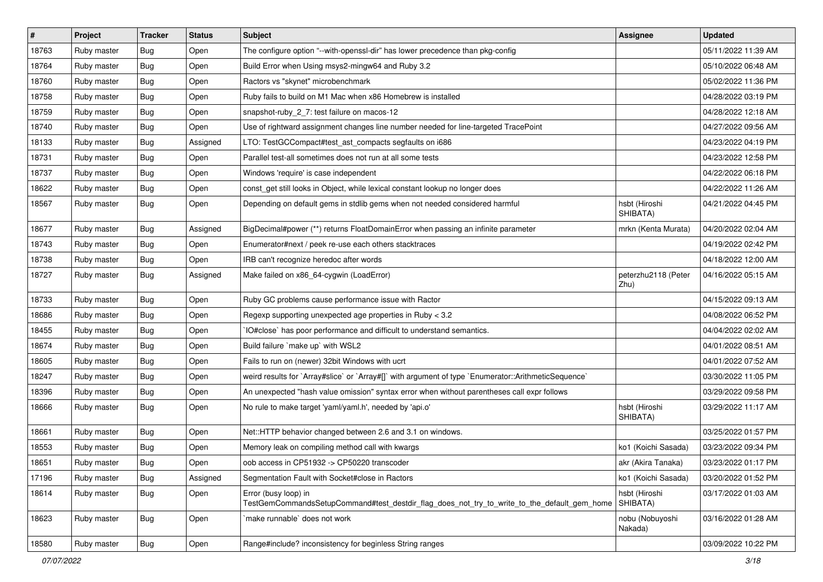| $\vert$ # | Project     | <b>Tracker</b> | <b>Status</b> | Subject                                                                                                             | <b>Assignee</b>             | <b>Updated</b>      |
|-----------|-------------|----------------|---------------|---------------------------------------------------------------------------------------------------------------------|-----------------------------|---------------------|
| 18763     | Ruby master | Bug            | Open          | The configure option "--with-openssl-dir" has lower precedence than pkg-config                                      |                             | 05/11/2022 11:39 AM |
| 18764     | Ruby master | <b>Bug</b>     | Open          | Build Error when Using msys2-mingw64 and Ruby 3.2                                                                   |                             | 05/10/2022 06:48 AM |
| 18760     | Ruby master | Bug            | Open          | Ractors vs "skynet" microbenchmark                                                                                  |                             | 05/02/2022 11:36 PM |
| 18758     | Ruby master | Bug            | Open          | Ruby fails to build on M1 Mac when x86 Homebrew is installed                                                        |                             | 04/28/2022 03:19 PM |
| 18759     | Ruby master | Bug            | Open          | snapshot-ruby_2_7: test failure on macos-12                                                                         |                             | 04/28/2022 12:18 AM |
| 18740     | Ruby master | Bug            | Open          | Use of rightward assignment changes line number needed for line-targeted TracePoint                                 |                             | 04/27/2022 09:56 AM |
| 18133     | Ruby master | <b>Bug</b>     | Assigned      | LTO: TestGCCompact#test_ast_compacts segfaults on i686                                                              |                             | 04/23/2022 04:19 PM |
| 18731     | Ruby master | Bug            | Open          | Parallel test-all sometimes does not run at all some tests                                                          |                             | 04/23/2022 12:58 PM |
| 18737     | Ruby master | Bug            | Open          | Windows 'require' is case independent                                                                               |                             | 04/22/2022 06:18 PM |
| 18622     | Ruby master | Bug            | Open          | const_get still looks in Object, while lexical constant lookup no longer does                                       |                             | 04/22/2022 11:26 AM |
| 18567     | Ruby master | Bug            | Open          | Depending on default gems in stdlib gems when not needed considered harmful                                         | hsbt (Hiroshi<br>SHIBATA)   | 04/21/2022 04:45 PM |
| 18677     | Ruby master | Bug            | Assigned      | BigDecimal#power (**) returns FloatDomainError when passing an infinite parameter                                   | mrkn (Kenta Murata)         | 04/20/2022 02:04 AM |
| 18743     | Ruby master | <b>Bug</b>     | Open          | Enumerator#next / peek re-use each others stacktraces                                                               |                             | 04/19/2022 02:42 PM |
| 18738     | Ruby master | <b>Bug</b>     | Open          | IRB can't recognize heredoc after words                                                                             |                             | 04/18/2022 12:00 AM |
| 18727     | Ruby master | Bug            | Assigned      | Make failed on x86_64-cygwin (LoadError)                                                                            | peterzhu2118 (Peter<br>Zhu) | 04/16/2022 05:15 AM |
| 18733     | Ruby master | Bug            | Open          | Ruby GC problems cause performance issue with Ractor                                                                |                             | 04/15/2022 09:13 AM |
| 18686     | Ruby master | <b>Bug</b>     | Open          | Regexp supporting unexpected age properties in Ruby < 3.2                                                           |                             | 04/08/2022 06:52 PM |
| 18455     | Ruby master | Bug            | Open          | IO#close` has poor performance and difficult to understand semantics.                                               |                             | 04/04/2022 02:02 AM |
| 18674     | Ruby master | Bug            | Open          | Build failure `make up` with WSL2                                                                                   |                             | 04/01/2022 08:51 AM |
| 18605     | Ruby master | <b>Bug</b>     | Open          | Fails to run on (newer) 32bit Windows with ucrt                                                                     |                             | 04/01/2022 07:52 AM |
| 18247     | Ruby master | <b>Bug</b>     | Open          | weird results for `Array#slice` or `Array#[]` with argument of type `Enumerator::ArithmeticSequence`                |                             | 03/30/2022 11:05 PM |
| 18396     | Ruby master | <b>Bug</b>     | Open          | An unexpected "hash value omission" syntax error when without parentheses call expr follows                         |                             | 03/29/2022 09:58 PM |
| 18666     | Ruby master | <b>Bug</b>     | Open          | No rule to make target 'yaml/yaml.h', needed by 'api.o'                                                             | hsbt (Hiroshi<br>SHIBATA)   | 03/29/2022 11:17 AM |
| 18661     | Ruby master | <b>Bug</b>     | Open          | Net::HTTP behavior changed between 2.6 and 3.1 on windows.                                                          |                             | 03/25/2022 01:57 PM |
| 18553     | Ruby master | <b>Bug</b>     | Open          | Memory leak on compiling method call with kwargs                                                                    | ko1 (Koichi Sasada)         | 03/23/2022 09:34 PM |
| 18651     | Ruby master | Bug            | Open          | oob access in CP51932 -> CP50220 transcoder                                                                         | akr (Akira Tanaka)          | 03/23/2022 01:17 PM |
| 17196     | Ruby master | <b>Bug</b>     | Assigned      | Segmentation Fault with Socket#close in Ractors                                                                     | ko1 (Koichi Sasada)         | 03/20/2022 01:52 PM |
| 18614     | Ruby master | <b>Bug</b>     | Open          | Error (busy loop) in<br>TestGemCommandsSetupCommand#test destdir flag does not try to write to the default gem home | hsbt (Hiroshi<br>SHIBATA)   | 03/17/2022 01:03 AM |
| 18623     | Ruby master | <b>Bug</b>     | Open          | `make runnable` does not work                                                                                       | nobu (Nobuyoshi<br>Nakada)  | 03/16/2022 01:28 AM |
| 18580     | Ruby master | <b>Bug</b>     | Open          | Range#include? inconsistency for beginless String ranges                                                            |                             | 03/09/2022 10:22 PM |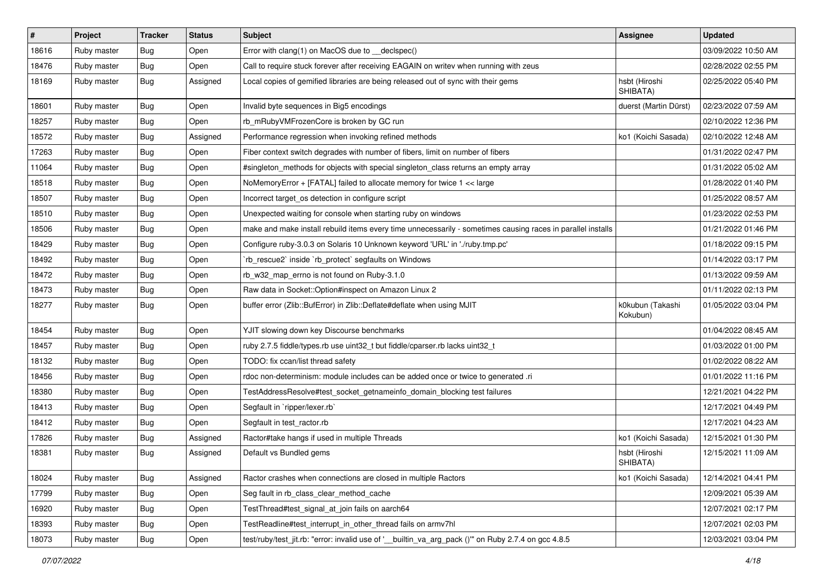| $\sharp$ | Project     | <b>Tracker</b> | <b>Status</b> | <b>Subject</b>                                                                                              | <b>Assignee</b>              | <b>Updated</b>      |
|----------|-------------|----------------|---------------|-------------------------------------------------------------------------------------------------------------|------------------------------|---------------------|
| 18616    | Ruby master | Bug            | Open          | Error with clang(1) on MacOS due to __declspec()                                                            |                              | 03/09/2022 10:50 AM |
| 18476    | Ruby master | <b>Bug</b>     | Open          | Call to require stuck forever after receiving EAGAIN on writev when running with zeus                       |                              | 02/28/2022 02:55 PM |
| 18169    | Ruby master | <b>Bug</b>     | Assigned      | Local copies of gemified libraries are being released out of sync with their gems                           | hsbt (Hiroshi<br>SHIBATA)    | 02/25/2022 05:40 PM |
| 18601    | Ruby master | Bug            | Open          | Invalid byte sequences in Big5 encodings                                                                    | duerst (Martin Dürst)        | 02/23/2022 07:59 AM |
| 18257    | Ruby master | Bug            | Open          | rb_mRubyVMFrozenCore is broken by GC run                                                                    |                              | 02/10/2022 12:36 PM |
| 18572    | Ruby master | Bug            | Assigned      | Performance regression when invoking refined methods                                                        | ko1 (Koichi Sasada)          | 02/10/2022 12:48 AM |
| 17263    | Ruby master | <b>Bug</b>     | Open          | Fiber context switch degrades with number of fibers, limit on number of fibers                              |                              | 01/31/2022 02:47 PM |
| 11064    | Ruby master | Bug            | Open          | #singleton_methods for objects with special singleton_class returns an empty array                          |                              | 01/31/2022 05:02 AM |
| 18518    | Ruby master | <b>Bug</b>     | Open          | NoMemoryError + [FATAL] failed to allocate memory for twice 1 << large                                      |                              | 01/28/2022 01:40 PM |
| 18507    | Ruby master | Bug            | Open          | Incorrect target_os detection in configure script                                                           |                              | 01/25/2022 08:57 AM |
| 18510    | Ruby master | <b>Bug</b>     | Open          | Unexpected waiting for console when starting ruby on windows                                                |                              | 01/23/2022 02:53 PM |
| 18506    | Ruby master | <b>Bug</b>     | Open          | make and make install rebuild items every time unnecessarily - sometimes causing races in parallel installs |                              | 01/21/2022 01:46 PM |
| 18429    | Ruby master | Bug            | Open          | Configure ruby-3.0.3 on Solaris 10 Unknown keyword 'URL' in './ruby.tmp.pc'                                 |                              | 01/18/2022 09:15 PM |
| 18492    | Ruby master | <b>Bug</b>     | Open          | 'rb_rescue2' inside 'rb_protect' segfaults on Windows                                                       |                              | 01/14/2022 03:17 PM |
| 18472    | Ruby master | Bug            | Open          | rb w32 map errno is not found on Ruby-3.1.0                                                                 |                              | 01/13/2022 09:59 AM |
| 18473    | Ruby master | <b>Bug</b>     | Open          | Raw data in Socket:: Option#inspect on Amazon Linux 2                                                       |                              | 01/11/2022 02:13 PM |
| 18277    | Ruby master | <b>Bug</b>     | Open          | buffer error (Zlib::BufError) in Zlib::Deflate#deflate when using MJIT                                      | k0kubun (Takashi<br>Kokubun) | 01/05/2022 03:04 PM |
| 18454    | Ruby master | Bug            | Open          | YJIT slowing down key Discourse benchmarks                                                                  |                              | 01/04/2022 08:45 AM |
| 18457    | Ruby master | <b>Bug</b>     | Open          | ruby 2.7.5 fiddle/types.rb use uint32_t but fiddle/cparser.rb lacks uint32_t                                |                              | 01/03/2022 01:00 PM |
| 18132    | Ruby master | Bug            | Open          | TODO: fix ccan/list thread safety                                                                           |                              | 01/02/2022 08:22 AM |
| 18456    | Ruby master | <b>Bug</b>     | Open          | rdoc non-determinism: module includes can be added once or twice to generated .ri                           |                              | 01/01/2022 11:16 PM |
| 18380    | Ruby master | Bug            | Open          | TestAddressResolve#test_socket_getnameinfo_domain_blocking test failures                                    |                              | 12/21/2021 04:22 PM |
| 18413    | Ruby master | <b>Bug</b>     | Open          | Segfault in `ripper/lexer.rb`                                                                               |                              | 12/17/2021 04:49 PM |
| 18412    | Ruby master | <b>Bug</b>     | Open          | Segfault in test_ractor.rb                                                                                  |                              | 12/17/2021 04:23 AM |
| 17826    | Ruby master | Bug            | Assigned      | Ractor#take hangs if used in multiple Threads                                                               | ko1 (Koichi Sasada)          | 12/15/2021 01:30 PM |
| 18381    | Ruby master | <b>Bug</b>     | Assigned      | Default vs Bundled gems                                                                                     | hsbt (Hiroshi<br>SHIBATA)    | 12/15/2021 11:09 AM |
| 18024    | Ruby master | Bug            | Assigned      | Ractor crashes when connections are closed in multiple Ractors                                              | ko1 (Koichi Sasada)          | 12/14/2021 04:41 PM |
| 17799    | Ruby master | Bug            | Open          | Seg fault in rb_class_clear_method_cache                                                                    |                              | 12/09/2021 05:39 AM |
| 16920    | Ruby master | <b>Bug</b>     | Open          | TestThread#test_signal_at_join fails on aarch64                                                             |                              | 12/07/2021 02:17 PM |
| 18393    | Ruby master | <b>Bug</b>     | Open          | TestReadline#test_interrupt_in_other_thread fails on armv7hl                                                |                              | 12/07/2021 02:03 PM |
| 18073    | Ruby master | <b>Bug</b>     | Open          | test/ruby/test_jit.rb: "error: invalid use of ' builtin va_arg_pack ()" on Ruby 2.7.4 on gcc 4.8.5          |                              | 12/03/2021 03:04 PM |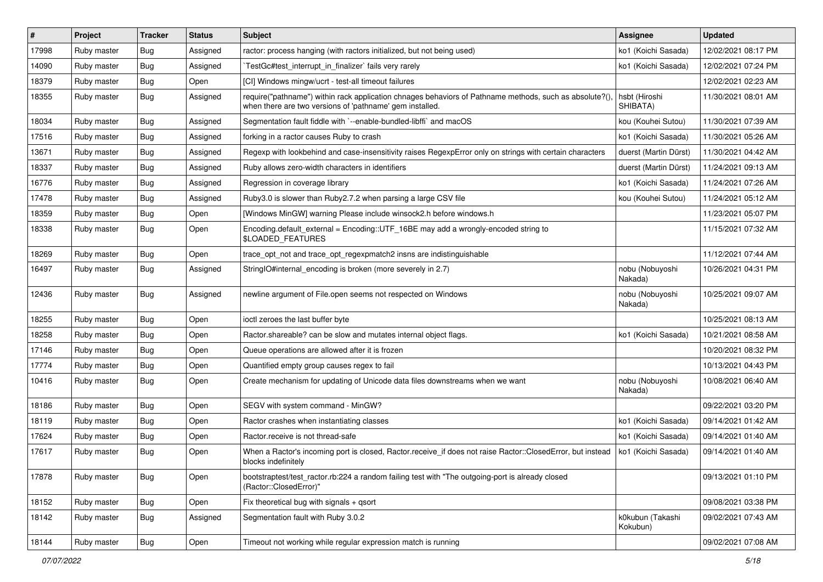| $\vert$ # | Project     | <b>Tracker</b> | <b>Status</b> | Subject                                                                                                                                                             | <b>Assignee</b>              | <b>Updated</b>      |
|-----------|-------------|----------------|---------------|---------------------------------------------------------------------------------------------------------------------------------------------------------------------|------------------------------|---------------------|
| 17998     | Ruby master | <b>Bug</b>     | Assigned      | ractor: process hanging (with ractors initialized, but not being used)                                                                                              | ko1 (Koichi Sasada)          | 12/02/2021 08:17 PM |
| 14090     | Ruby master | <b>Bug</b>     | Assigned      | TestGc#test interrupt in finalizer` fails very rarely                                                                                                               | ko1 (Koichi Sasada)          | 12/02/2021 07:24 PM |
| 18379     | Ruby master | Bug            | Open          | [CI] Windows mingw/ucrt - test-all timeout failures                                                                                                                 |                              | 12/02/2021 02:23 AM |
| 18355     | Ruby master | Bug            | Assigned      | require("pathname") within rack application chnages behaviors of Pathname methods, such as absolute?(),<br>when there are two versions of 'pathname' gem installed. | hsbt (Hiroshi<br>SHIBATA)    | 11/30/2021 08:01 AM |
| 18034     | Ruby master | Bug            | Assigned      | Segmentation fault fiddle with `--enable-bundled-libffi` and macOS                                                                                                  | kou (Kouhei Sutou)           | 11/30/2021 07:39 AM |
| 17516     | Ruby master | <b>Bug</b>     | Assigned      | forking in a ractor causes Ruby to crash                                                                                                                            | ko1 (Koichi Sasada)          | 11/30/2021 05:26 AM |
| 13671     | Ruby master | <b>Bug</b>     | Assigned      | Regexp with lookbehind and case-insensitivity raises RegexpError only on strings with certain characters                                                            | duerst (Martin Dürst)        | 11/30/2021 04:42 AM |
| 18337     | Ruby master | Bug            | Assigned      | Ruby allows zero-width characters in identifiers                                                                                                                    | duerst (Martin Dürst)        | 11/24/2021 09:13 AM |
| 16776     | Ruby master | <b>Bug</b>     | Assigned      | Regression in coverage library                                                                                                                                      | ko1 (Koichi Sasada)          | 11/24/2021 07:26 AM |
| 17478     | Ruby master | Bug            | Assigned      | Ruby3.0 is slower than Ruby2.7.2 when parsing a large CSV file                                                                                                      | kou (Kouhei Sutou)           | 11/24/2021 05:12 AM |
| 18359     | Ruby master | <b>Bug</b>     | Open          | [Windows MinGW] warning Please include winsock2.h before windows.h                                                                                                  |                              | 11/23/2021 05:07 PM |
| 18338     | Ruby master | <b>Bug</b>     | Open          | Encoding.default_external = Encoding::UTF_16BE may add a wrongly-encoded string to<br>\$LOADED_FEATURES                                                             |                              | 11/15/2021 07:32 AM |
| 18269     | Ruby master | Bug            | Open          | trace_opt_not and trace_opt_regexpmatch2 insns are indistinguishable                                                                                                |                              | 11/12/2021 07:44 AM |
| 16497     | Ruby master | Bug            | Assigned      | StringIO#internal_encoding is broken (more severely in 2.7)                                                                                                         | nobu (Nobuyoshi<br>Nakada)   | 10/26/2021 04:31 PM |
| 12436     | Ruby master | <b>Bug</b>     | Assigned      | newline argument of File.open seems not respected on Windows                                                                                                        | nobu (Nobuyoshi<br>Nakada)   | 10/25/2021 09:07 AM |
| 18255     | Ruby master | <b>Bug</b>     | Open          | ioctl zeroes the last buffer byte                                                                                                                                   |                              | 10/25/2021 08:13 AM |
| 18258     | Ruby master | <b>Bug</b>     | Open          | Ractor shareable? can be slow and mutates internal object flags.                                                                                                    | ko1 (Koichi Sasada)          | 10/21/2021 08:58 AM |
| 17146     | Ruby master | <b>Bug</b>     | Open          | Queue operations are allowed after it is frozen                                                                                                                     |                              | 10/20/2021 08:32 PM |
| 17774     | Ruby master | Bug            | Open          | Quantified empty group causes regex to fail                                                                                                                         |                              | 10/13/2021 04:43 PM |
| 10416     | Ruby master | <b>Bug</b>     | Open          | Create mechanism for updating of Unicode data files downstreams when we want                                                                                        | nobu (Nobuyoshi<br>Nakada)   | 10/08/2021 06:40 AM |
| 18186     | Ruby master | <b>Bug</b>     | Open          | SEGV with system command - MinGW?                                                                                                                                   |                              | 09/22/2021 03:20 PM |
| 18119     | Ruby master | <b>Bug</b>     | Open          | Ractor crashes when instantiating classes                                                                                                                           | ko1 (Koichi Sasada)          | 09/14/2021 01:42 AM |
| 17624     | Ruby master | Bug            | Open          | Ractor.receive is not thread-safe                                                                                                                                   | ko1 (Koichi Sasada)          | 09/14/2021 01:40 AM |
| 17617     | Ruby master | Bug            | Open          | When a Ractor's incoming port is closed, Ractor.receive_if does not raise Ractor::ClosedError, but instead<br>blocks indefinitely                                   | ko1 (Koichi Sasada)          | 09/14/2021 01:40 AM |
| 17878     | Ruby master | <b>Bug</b>     | Open          | bootstraptest/test_ractor.rb:224 a random failing test with "The outgoing-port is already closed<br>(Ractor::ClosedError)"                                          |                              | 09/13/2021 01:10 PM |
| 18152     | Ruby master | <b>Bug</b>     | Open          | Fix theoretical bug with signals $+$ qsort                                                                                                                          |                              | 09/08/2021 03:38 PM |
| 18142     | Ruby master | Bug            | Assigned      | Segmentation fault with Ruby 3.0.2                                                                                                                                  | k0kubun (Takashi<br>Kokubun) | 09/02/2021 07:43 AM |
| 18144     | Ruby master | Bug            | Open          | Timeout not working while regular expression match is running                                                                                                       |                              | 09/02/2021 07:08 AM |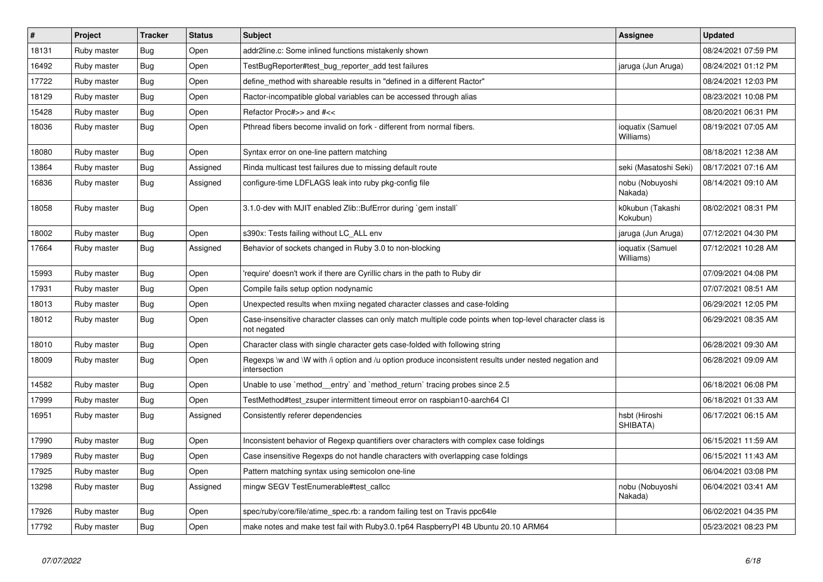| #     | Project     | <b>Tracker</b> | <b>Status</b> | <b>Subject</b>                                                                                                          | Assignee                      | <b>Updated</b>      |
|-------|-------------|----------------|---------------|-------------------------------------------------------------------------------------------------------------------------|-------------------------------|---------------------|
| 18131 | Ruby master | Bug            | Open          | addr2line.c: Some inlined functions mistakenly shown                                                                    |                               | 08/24/2021 07:59 PM |
| 16492 | Ruby master | Bug            | Open          | TestBugReporter#test bug reporter add test failures                                                                     | jaruga (Jun Aruga)            | 08/24/2021 01:12 PM |
| 17722 | Ruby master | <b>Bug</b>     | Open          | define_method with shareable results in "defined in a different Ractor"                                                 |                               | 08/24/2021 12:03 PM |
| 18129 | Ruby master | Bug            | Open          | Ractor-incompatible global variables can be accessed through alias                                                      |                               | 08/23/2021 10:08 PM |
| 15428 | Ruby master | Bug            | Open          | Refactor Proc#>> and #<<                                                                                                |                               | 08/20/2021 06:31 PM |
| 18036 | Ruby master | <b>Bug</b>     | Open          | Pthread fibers become invalid on fork - different from normal fibers.                                                   | ioquatix (Samuel<br>Williams) | 08/19/2021 07:05 AM |
| 18080 | Ruby master | <b>Bug</b>     | Open          | Syntax error on one-line pattern matching                                                                               |                               | 08/18/2021 12:38 AM |
| 13864 | Ruby master | <b>Bug</b>     | Assigned      | Rinda multicast test failures due to missing default route                                                              | seki (Masatoshi Seki)         | 08/17/2021 07:16 AM |
| 16836 | Ruby master | Bug            | Assigned      | configure-time LDFLAGS leak into ruby pkg-config file                                                                   | nobu (Nobuyoshi<br>Nakada)    | 08/14/2021 09:10 AM |
| 18058 | Ruby master | <b>Bug</b>     | Open          | 3.1.0-dev with MJIT enabled Zlib::BufError during `gem install`                                                         | k0kubun (Takashi<br>Kokubun)  | 08/02/2021 08:31 PM |
| 18002 | Ruby master | <b>Bug</b>     | Open          | s390x: Tests failing without LC_ALL env                                                                                 | jaruga (Jun Aruga)            | 07/12/2021 04:30 PM |
| 17664 | Ruby master | <b>Bug</b>     | Assigned      | Behavior of sockets changed in Ruby 3.0 to non-blocking                                                                 | ioquatix (Samuel<br>Williams) | 07/12/2021 10:28 AM |
| 15993 | Ruby master | <b>Bug</b>     | Open          | require' doesn't work if there are Cyrillic chars in the path to Ruby dir                                               |                               | 07/09/2021 04:08 PM |
| 17931 | Ruby master | <b>Bug</b>     | Open          | Compile fails setup option nodynamic                                                                                    |                               | 07/07/2021 08:51 AM |
| 18013 | Ruby master | Bug            | Open          | Unexpected results when mxiing negated character classes and case-folding                                               |                               | 06/29/2021 12:05 PM |
| 18012 | Ruby master | Bug            | Open          | Case-insensitive character classes can only match multiple code points when top-level character class is<br>not negated |                               | 06/29/2021 08:35 AM |
| 18010 | Ruby master | <b>Bug</b>     | Open          | Character class with single character gets case-folded with following string                                            |                               | 06/28/2021 09:30 AM |
| 18009 | Ruby master | Bug            | Open          | Regexps \w and \W with /i option and /u option produce inconsistent results under nested negation and<br>intersection   |                               | 06/28/2021 09:09 AM |
| 14582 | Ruby master | <b>Bug</b>     | Open          | Unable to use `method entry` and `method return` tracing probes since 2.5                                               |                               | 06/18/2021 06:08 PM |
| 17999 | Ruby master | <b>Bug</b>     | Open          | TestMethod#test_zsuper intermittent timeout error on raspbian10-aarch64 CI                                              |                               | 06/18/2021 01:33 AM |
| 16951 | Ruby master | Bug            | Assigned      | Consistently referer dependencies                                                                                       | hsbt (Hiroshi<br>SHIBATA)     | 06/17/2021 06:15 AM |
| 17990 | Ruby master | <b>Bug</b>     | Open          | Inconsistent behavior of Regexp quantifiers over characters with complex case foldings                                  |                               | 06/15/2021 11:59 AM |
| 17989 | Ruby master | <b>Bug</b>     | Open          | Case insensitive Regexps do not handle characters with overlapping case foldings                                        |                               | 06/15/2021 11:43 AM |
| 17925 | Ruby master | <b>Bug</b>     | Open          | Pattern matching syntax using semicolon one-line                                                                        |                               | 06/04/2021 03:08 PM |
| 13298 | Ruby master | Bug            | Assigned      | mingw SEGV TestEnumerable#test_callcc                                                                                   | nobu (Nobuyoshi<br>Nakada)    | 06/04/2021 03:41 AM |
| 17926 | Ruby master | Bug            | Open          | spec/ruby/core/file/atime spec.rb: a random failing test on Travis ppc64le                                              |                               | 06/02/2021 04:35 PM |
| 17792 | Ruby master | Bug            | Open          | make notes and make test fail with Ruby 3.0.1 p64 Raspberry PI 4B Ubuntu 20.10 ARM64                                    |                               | 05/23/2021 08:23 PM |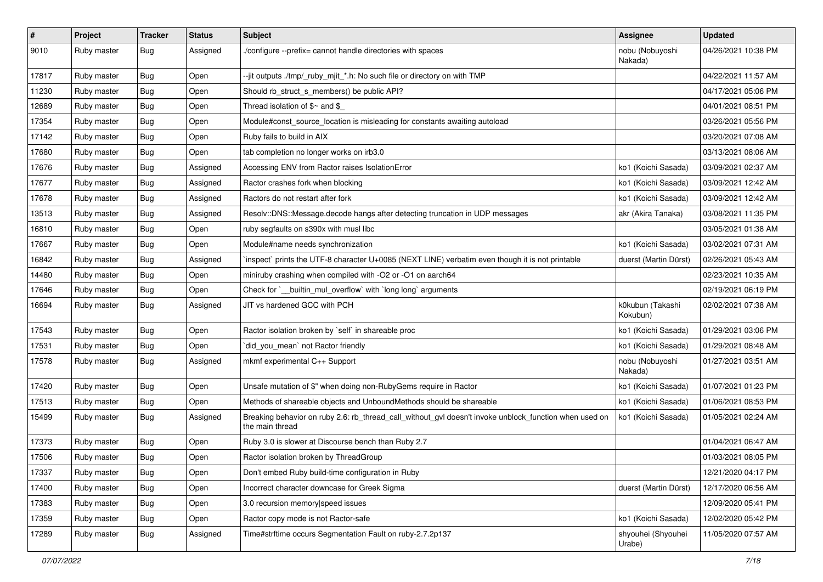| $\vert$ # | Project     | <b>Tracker</b> | <b>Status</b> | Subject                                                                                                                   | <b>Assignee</b>              | <b>Updated</b>      |
|-----------|-------------|----------------|---------------|---------------------------------------------------------------------------------------------------------------------------|------------------------------|---------------------|
| 9010      | Ruby master | Bug            | Assigned      | /configure --prefix= cannot handle directories with spaces                                                                | nobu (Nobuyoshi<br>Nakada)   | 04/26/2021 10:38 PM |
| 17817     | Ruby master | Bug            | Open          | --jit outputs ./tmp/_ruby_mjit_*.h: No such file or directory on with TMP                                                 |                              | 04/22/2021 11:57 AM |
| 11230     | Ruby master | <b>Bug</b>     | Open          | Should rb_struct_s_members() be public API?                                                                               |                              | 04/17/2021 05:06 PM |
| 12689     | Ruby master | <b>Bug</b>     | Open          | Thread isolation of $$~$ and $$$                                                                                          |                              | 04/01/2021 08:51 PM |
| 17354     | Ruby master | Bug            | Open          | Module#const_source_location is misleading for constants awaiting autoload                                                |                              | 03/26/2021 05:56 PM |
| 17142     | Ruby master | <b>Bug</b>     | Open          | Ruby fails to build in AIX                                                                                                |                              | 03/20/2021 07:08 AM |
| 17680     | Ruby master | <b>Bug</b>     | Open          | tab completion no longer works on irb3.0                                                                                  |                              | 03/13/2021 08:06 AM |
| 17676     | Ruby master | Bug            | Assigned      | Accessing ENV from Ractor raises IsolationError                                                                           | ko1 (Koichi Sasada)          | 03/09/2021 02:37 AM |
| 17677     | Ruby master | <b>Bug</b>     | Assigned      | Ractor crashes fork when blocking                                                                                         | ko1 (Koichi Sasada)          | 03/09/2021 12:42 AM |
| 17678     | Ruby master | <b>Bug</b>     | Assigned      | Ractors do not restart after fork                                                                                         | ko1 (Koichi Sasada)          | 03/09/2021 12:42 AM |
| 13513     | Ruby master | <b>Bug</b>     | Assigned      | Resolv::DNS::Message.decode hangs after detecting truncation in UDP messages                                              | akr (Akira Tanaka)           | 03/08/2021 11:35 PM |
| 16810     | Ruby master | <b>Bug</b>     | Open          | ruby segfaults on s390x with musl libc                                                                                    |                              | 03/05/2021 01:38 AM |
| 17667     | Ruby master | Bug            | Open          | Module#name needs synchronization                                                                                         | ko1 (Koichi Sasada)          | 03/02/2021 07:31 AM |
| 16842     | Ruby master | <b>Bug</b>     | Assigned      | inspect` prints the UTF-8 character U+0085 (NEXT LINE) verbatim even though it is not printable                           | duerst (Martin Dürst)        | 02/26/2021 05:43 AM |
| 14480     | Ruby master | <b>Bug</b>     | Open          | miniruby crashing when compiled with -O2 or -O1 on aarch64                                                                |                              | 02/23/2021 10:35 AM |
| 17646     | Ruby master | <b>Bug</b>     | Open          | Check for `_builtin_mul_overflow` with `long long` arguments                                                              |                              | 02/19/2021 06:19 PM |
| 16694     | Ruby master | <b>Bug</b>     | Assigned      | JIT vs hardened GCC with PCH                                                                                              | k0kubun (Takashi<br>Kokubun) | 02/02/2021 07:38 AM |
| 17543     | Ruby master | <b>Bug</b>     | Open          | Ractor isolation broken by `self` in shareable proc                                                                       | ko1 (Koichi Sasada)          | 01/29/2021 03:06 PM |
| 17531     | Ruby master | <b>Bug</b>     | Open          | did_you_mean' not Ractor friendly                                                                                         | ko1 (Koichi Sasada)          | 01/29/2021 08:48 AM |
| 17578     | Ruby master | <b>Bug</b>     | Assigned      | mkmf experimental C++ Support                                                                                             | nobu (Nobuyoshi<br>Nakada)   | 01/27/2021 03:51 AM |
| 17420     | Ruby master | Bug            | Open          | Unsafe mutation of \$" when doing non-RubyGems require in Ractor                                                          | ko1 (Koichi Sasada)          | 01/07/2021 01:23 PM |
| 17513     | Ruby master | <b>Bug</b>     | Open          | Methods of shareable objects and UnboundMethods should be shareable                                                       | ko1 (Koichi Sasada)          | 01/06/2021 08:53 PM |
| 15499     | Ruby master | <b>Bug</b>     | Assigned      | Breaking behavior on ruby 2.6: rb_thread_call_without_gvl doesn't invoke unblock_function when used on<br>the main thread | ko1 (Koichi Sasada)          | 01/05/2021 02:24 AM |
| 17373     | Ruby master | Bug            | Open          | Ruby 3.0 is slower at Discourse bench than Ruby 2.7                                                                       |                              | 01/04/2021 06:47 AM |
| 17506     | Ruby master | <b>Bug</b>     | Open          | Ractor isolation broken by ThreadGroup                                                                                    |                              | 01/03/2021 08:05 PM |
| 17337     | Ruby master | <b>Bug</b>     | Open          | Don't embed Ruby build-time configuration in Ruby                                                                         |                              | 12/21/2020 04:17 PM |
| 17400     | Ruby master | <b>Bug</b>     | Open          | Incorrect character downcase for Greek Sigma                                                                              | duerst (Martin Dürst)        | 12/17/2020 06:56 AM |
| 17383     | Ruby master | <b>Bug</b>     | Open          | 3.0 recursion memory speed issues                                                                                         |                              | 12/09/2020 05:41 PM |
| 17359     | Ruby master | Bug            | Open          | Ractor copy mode is not Ractor-safe                                                                                       | ko1 (Koichi Sasada)          | 12/02/2020 05:42 PM |
| 17289     | Ruby master | <b>Bug</b>     | Assigned      | Time#strftime occurs Segmentation Fault on ruby-2.7.2p137                                                                 | shyouhei (Shyouhei<br>Urabe) | 11/05/2020 07:57 AM |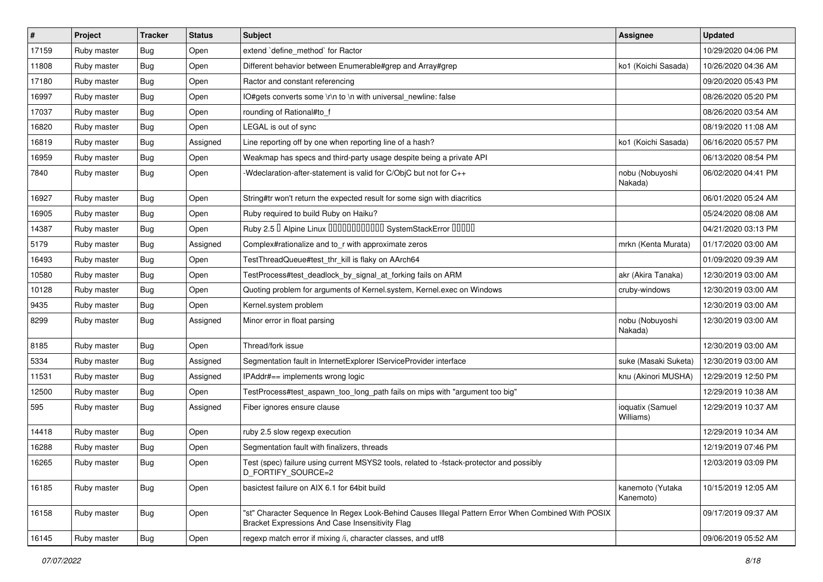| $\vert$ # | Project     | <b>Tracker</b> | <b>Status</b> | <b>Subject</b>                                                                                                                                        | <b>Assignee</b>               | <b>Updated</b>      |
|-----------|-------------|----------------|---------------|-------------------------------------------------------------------------------------------------------------------------------------------------------|-------------------------------|---------------------|
| 17159     | Ruby master | <b>Bug</b>     | Open          | extend 'define_method' for Ractor                                                                                                                     |                               | 10/29/2020 04:06 PM |
| 11808     | Ruby master | Bug            | Open          | Different behavior between Enumerable#grep and Array#grep                                                                                             | ko1 (Koichi Sasada)           | 10/26/2020 04:36 AM |
| 17180     | Ruby master | <b>Bug</b>     | Open          | Ractor and constant referencing                                                                                                                       |                               | 09/20/2020 05:43 PM |
| 16997     | Ruby master | <b>Bug</b>     | Open          | IO#gets converts some \r\n to \n with universal_newline: false                                                                                        |                               | 08/26/2020 05:20 PM |
| 17037     | Ruby master | <b>Bug</b>     | Open          | rounding of Rational#to_f                                                                                                                             |                               | 08/26/2020 03:54 AM |
| 16820     | Ruby master | <b>Bug</b>     | Open          | LEGAL is out of sync                                                                                                                                  |                               | 08/19/2020 11:08 AM |
| 16819     | Ruby master | <b>Bug</b>     | Assigned      | Line reporting off by one when reporting line of a hash?                                                                                              | ko1 (Koichi Sasada)           | 06/16/2020 05:57 PM |
| 16959     | Ruby master | <b>Bug</b>     | Open          | Weakmap has specs and third-party usage despite being a private API                                                                                   |                               | 06/13/2020 08:54 PM |
| 7840      | Ruby master | <b>Bug</b>     | Open          | -Wdeclaration-after-statement is valid for C/ObjC but not for C++                                                                                     | nobu (Nobuyoshi<br>Nakada)    | 06/02/2020 04:41 PM |
| 16927     | Ruby master | Bug            | Open          | String#tr won't return the expected result for some sign with diacritics                                                                              |                               | 06/01/2020 05:24 AM |
| 16905     | Ruby master | <b>Bug</b>     | Open          | Ruby required to build Ruby on Haiku?                                                                                                                 |                               | 05/24/2020 08:08 AM |
| 14387     | Ruby master | <b>Bug</b>     | Open          | Ruby 2.5 <sup>D</sup> Alpine Linux <b>DDDDDDDDDDD</b> SystemStackError <b>DDDD</b>                                                                    |                               | 04/21/2020 03:13 PM |
| 5179      | Ruby master | <b>Bug</b>     | Assigned      | Complex#rationalize and to_r with approximate zeros                                                                                                   | mrkn (Kenta Murata)           | 01/17/2020 03:00 AM |
| 16493     | Ruby master | <b>Bug</b>     | Open          | TestThreadQueue#test_thr_kill is flaky on AArch64                                                                                                     |                               | 01/09/2020 09:39 AM |
| 10580     | Ruby master | <b>Bug</b>     | Open          | TestProcess#test_deadlock_by_signal_at_forking fails on ARM                                                                                           | akr (Akira Tanaka)            | 12/30/2019 03:00 AM |
| 10128     | Ruby master | <b>Bug</b>     | Open          | Quoting problem for arguments of Kernel.system, Kernel.exec on Windows                                                                                | cruby-windows                 | 12/30/2019 03:00 AM |
| 9435      | Ruby master | Bug            | Open          | Kernel.system problem                                                                                                                                 |                               | 12/30/2019 03:00 AM |
| 8299      | Ruby master | <b>Bug</b>     | Assigned      | Minor error in float parsing                                                                                                                          | nobu (Nobuyoshi<br>Nakada)    | 12/30/2019 03:00 AM |
| 8185      | Ruby master | <b>Bug</b>     | Open          | Thread/fork issue                                                                                                                                     |                               | 12/30/2019 03:00 AM |
| 5334      | Ruby master | <b>Bug</b>     | Assigned      | Segmentation fault in InternetExplorer IServiceProvider interface                                                                                     | suke (Masaki Suketa)          | 12/30/2019 03:00 AM |
| 11531     | Ruby master | Bug            | Assigned      | IPAddr#== implements wrong logic                                                                                                                      | knu (Akinori MUSHA)           | 12/29/2019 12:50 PM |
| 12500     | Ruby master | <b>Bug</b>     | Open          | TestProcess#test_aspawn_too_long_path fails on mips with "argument too big"                                                                           |                               | 12/29/2019 10:38 AM |
| 595       | Ruby master | Bug            | Assigned      | Fiber ignores ensure clause                                                                                                                           | ioquatix (Samuel<br>Williams) | 12/29/2019 10:37 AM |
| 14418     | Ruby master | <b>Bug</b>     | Open          | ruby 2.5 slow regexp execution                                                                                                                        |                               | 12/29/2019 10:34 AM |
| 16288     | Ruby master | <b>Bug</b>     | Open          | Segmentation fault with finalizers, threads                                                                                                           |                               | 12/19/2019 07:46 PM |
| 16265     | Ruby master | <b>Bug</b>     | Open          | Test (spec) failure using current MSYS2 tools, related to -fstack-protector and possibly<br>D_FORTIFY_SOURCE=2                                        |                               | 12/03/2019 03:09 PM |
| 16185     | Ruby master | <b>Bug</b>     | Open          | basictest failure on AIX 6.1 for 64bit build                                                                                                          | kanemoto (Yutaka<br>Kanemoto) | 10/15/2019 12:05 AM |
| 16158     | Ruby master | Bug            | Open          | "st" Character Sequence In Regex Look-Behind Causes Illegal Pattern Error When Combined With POSIX<br>Bracket Expressions And Case Insensitivity Flag |                               | 09/17/2019 09:37 AM |
| 16145     | Ruby master | <b>Bug</b>     | Open          | regexp match error if mixing /i, character classes, and utf8                                                                                          |                               | 09/06/2019 05:52 AM |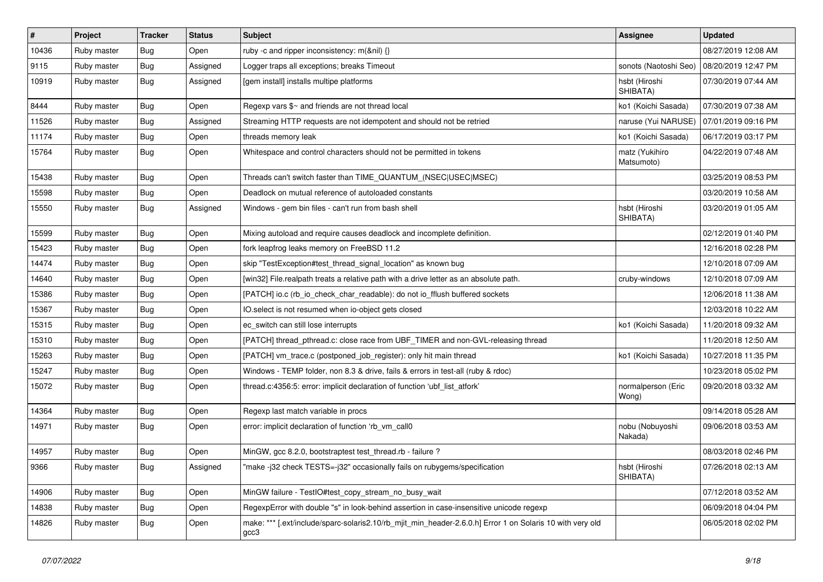| $\vert$ # | Project     | <b>Tracker</b> | <b>Status</b> | Subject                                                                                                           | Assignee                     | <b>Updated</b>      |
|-----------|-------------|----------------|---------------|-------------------------------------------------------------------------------------------------------------------|------------------------------|---------------------|
| 10436     | Ruby master | <b>Bug</b>     | Open          | ruby -c and ripper inconsistency: $m(\& \text{nil}) \{\}$                                                         |                              | 08/27/2019 12:08 AM |
| 9115      | Ruby master | <b>Bug</b>     | Assigned      | Logger traps all exceptions; breaks Timeout                                                                       | sonots (Naotoshi Seo)        | 08/20/2019 12:47 PM |
| 10919     | Ruby master | <b>Bug</b>     | Assigned      | [gem install] installs multipe platforms                                                                          | hsbt (Hiroshi<br>SHIBATA)    | 07/30/2019 07:44 AM |
| 8444      | Ruby master | Bug            | Open          | Regexp vars $\frac{6}{5}$ and friends are not thread local                                                        | ko1 (Koichi Sasada)          | 07/30/2019 07:38 AM |
| 11526     | Ruby master | <b>Bug</b>     | Assigned      | Streaming HTTP requests are not idempotent and should not be retried                                              | naruse (Yui NARUSE)          | 07/01/2019 09:16 PM |
| 11174     | Ruby master | <b>Bug</b>     | Open          | threads memory leak                                                                                               | ko1 (Koichi Sasada)          | 06/17/2019 03:17 PM |
| 15764     | Ruby master | <b>Bug</b>     | Open          | Whitespace and control characters should not be permitted in tokens                                               | matz (Yukihiro<br>Matsumoto) | 04/22/2019 07:48 AM |
| 15438     | Ruby master | <b>Bug</b>     | Open          | Threads can't switch faster than TIME_QUANTUM_(NSEC USEC MSEC)                                                    |                              | 03/25/2019 08:53 PM |
| 15598     | Ruby master | Bug            | Open          | Deadlock on mutual reference of autoloaded constants                                                              |                              | 03/20/2019 10:58 AM |
| 15550     | Ruby master | <b>Bug</b>     | Assigned      | Windows - gem bin files - can't run from bash shell                                                               | hsbt (Hiroshi<br>SHIBATA)    | 03/20/2019 01:05 AM |
| 15599     | Ruby master | <b>Bug</b>     | Open          | Mixing autoload and require causes deadlock and incomplete definition.                                            |                              | 02/12/2019 01:40 PM |
| 15423     | Ruby master | <b>Bug</b>     | Open          | fork leapfrog leaks memory on FreeBSD 11.2                                                                        |                              | 12/16/2018 02:28 PM |
| 14474     | Ruby master | <b>Bug</b>     | Open          | skip "TestException#test thread signal location" as known bug                                                     |                              | 12/10/2018 07:09 AM |
| 14640     | Ruby master | Bug            | Open          | [win32] File.realpath treats a relative path with a drive letter as an absolute path.                             | cruby-windows                | 12/10/2018 07:09 AM |
| 15386     | Ruby master | Bug            | Open          | [PATCH] io.c (rb io check char readable): do not io fflush buffered sockets                                       |                              | 12/06/2018 11:38 AM |
| 15367     | Ruby master | Bug            | Open          | IO select is not resumed when io-object gets closed                                                               |                              | 12/03/2018 10:22 AM |
| 15315     | Ruby master | Bug            | Open          | ec switch can still lose interrupts                                                                               | ko1 (Koichi Sasada)          | 11/20/2018 09:32 AM |
| 15310     | Ruby master | <b>Bug</b>     | Open          | [PATCH] thread_pthread.c: close race from UBF_TIMER and non-GVL-releasing thread                                  |                              | 11/20/2018 12:50 AM |
| 15263     | Ruby master | <b>Bug</b>     | Open          | [PATCH] vm_trace.c (postponed_job_register): only hit main thread                                                 | ko1 (Koichi Sasada)          | 10/27/2018 11:35 PM |
| 15247     | Ruby master | <b>Bug</b>     | Open          | Windows - TEMP folder, non 8.3 & drive, fails & errors in test-all (ruby & rdoc)                                  |                              | 10/23/2018 05:02 PM |
| 15072     | Ruby master | <b>Bug</b>     | Open          | thread.c:4356:5: error: implicit declaration of function 'ubf_list_atfork'                                        | normalperson (Eric<br>Wong)  | 09/20/2018 03:32 AM |
| 14364     | Ruby master | <b>Bug</b>     | Open          | Regexp last match variable in procs                                                                               |                              | 09/14/2018 05:28 AM |
| 14971     | Ruby master | <b>Bug</b>     | Open          | error: implicit declaration of function 'rb_vm_call0                                                              | nobu (Nobuyoshi<br>Nakada)   | 09/06/2018 03:53 AM |
| 14957     | Ruby master | <b>Bug</b>     | Open          | MinGW, gcc 8.2.0, bootstraptest test thread.rb - failure?                                                         |                              | 08/03/2018 02:46 PM |
| 9366      | Ruby master | Bug            | Assigned      | 'make-j32 check TESTS=-j32" occasionally fails on rubygems/specification                                          | hsbt (Hiroshi<br>SHIBATA)    | 07/26/2018 02:13 AM |
| 14906     | Ruby master | <b>Bug</b>     | Open          | MinGW failure - TestlO#test_copy_stream_no_busy_wait                                                              |                              | 07/12/2018 03:52 AM |
| 14838     | Ruby master | <b>Bug</b>     | Open          | RegexpError with double "s" in look-behind assertion in case-insensitive unicode regexp                           |                              | 06/09/2018 04:04 PM |
| 14826     | Ruby master | <b>Bug</b>     | Open          | make: *** [.ext/include/sparc-solaris2.10/rb_mjit_min_header-2.6.0.h] Error 1 on Solaris 10 with very old<br>gcc3 |                              | 06/05/2018 02:02 PM |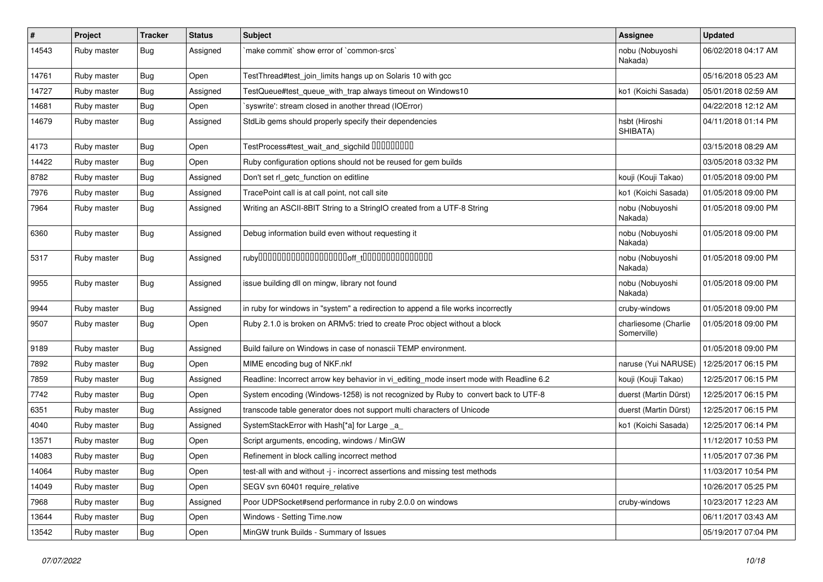| $\vert$ # | Project     | <b>Tracker</b> | <b>Status</b> | Subject                                                                                 | <b>Assignee</b>                     | <b>Updated</b>      |
|-----------|-------------|----------------|---------------|-----------------------------------------------------------------------------------------|-------------------------------------|---------------------|
| 14543     | Ruby master | Bug            | Assigned      | `make commit` show error of `common-srcs`                                               | nobu (Nobuyoshi<br>Nakada)          | 06/02/2018 04:17 AM |
| 14761     | Ruby master | Bug            | Open          | TestThread#test join limits hangs up on Solaris 10 with gcc                             |                                     | 05/16/2018 05:23 AM |
| 14727     | Ruby master | <b>Bug</b>     | Assigned      | TestQueue#test_queue_with_trap always timeout on Windows10                              | ko1 (Koichi Sasada)                 | 05/01/2018 02:59 AM |
| 14681     | Ruby master | <b>Bug</b>     | Open          | 'syswrite': stream closed in another thread (IOError)                                   |                                     | 04/22/2018 12:12 AM |
| 14679     | Ruby master | Bug            | Assigned      | StdLib gems should properly specify their dependencies                                  | hsbt (Hiroshi<br>SHIBATA)           | 04/11/2018 01:14 PM |
| 4173      | Ruby master | Bug            | Open          | TestProcess#test_wait_and_sigchild 00000000                                             |                                     | 03/15/2018 08:29 AM |
| 14422     | Ruby master | Bug            | Open          | Ruby configuration options should not be reused for gem builds                          |                                     | 03/05/2018 03:32 PM |
| 8782      | Ruby master | <b>Bug</b>     | Assigned      | Don't set rl_getc_function on editline                                                  | kouji (Kouji Takao)                 | 01/05/2018 09:00 PM |
| 7976      | Ruby master | Bug            | Assigned      | TracePoint call is at call point, not call site                                         | ko1 (Koichi Sasada)                 | 01/05/2018 09:00 PM |
| 7964      | Ruby master | <b>Bug</b>     | Assigned      | Writing an ASCII-8BIT String to a StringIO created from a UTF-8 String                  | nobu (Nobuyoshi<br>Nakada)          | 01/05/2018 09:00 PM |
| 6360      | Ruby master | <b>Bug</b>     | Assigned      | Debug information build even without requesting it                                      | nobu (Nobuyoshi<br>Nakada)          | 01/05/2018 09:00 PM |
| 5317      | Ruby master | Bug            | Assigned      |                                                                                         | nobu (Nobuyoshi<br>Nakada)          | 01/05/2018 09:00 PM |
| 9955      | Ruby master | Bug            | Assigned      | issue building dll on mingw, library not found                                          | nobu (Nobuyoshi<br>Nakada)          | 01/05/2018 09:00 PM |
| 9944      | Ruby master | <b>Bug</b>     | Assigned      | in ruby for windows in "system" a redirection to append a file works incorrectly        | cruby-windows                       | 01/05/2018 09:00 PM |
| 9507      | Ruby master | <b>Bug</b>     | Open          | Ruby 2.1.0 is broken on ARMv5: tried to create Proc object without a block              | charliesome (Charlie<br>Somerville) | 01/05/2018 09:00 PM |
| 9189      | Ruby master | <b>Bug</b>     | Assigned      | Build failure on Windows in case of nonascii TEMP environment.                          |                                     | 01/05/2018 09:00 PM |
| 7892      | Ruby master | <b>Bug</b>     | Open          | MIME encoding bug of NKF.nkf                                                            | naruse (Yui NARUSE)                 | 12/25/2017 06:15 PM |
| 7859      | Ruby master | <b>Bug</b>     | Assigned      | Readline: Incorrect arrow key behavior in vi_editing_mode insert mode with Readline 6.2 | kouji (Kouji Takao)                 | 12/25/2017 06:15 PM |
| 7742      | Ruby master | <b>Bug</b>     | Open          | System encoding (Windows-1258) is not recognized by Ruby to convert back to UTF-8       | duerst (Martin Dürst)               | 12/25/2017 06:15 PM |
| 6351      | Ruby master | <b>Bug</b>     | Assigned      | transcode table generator does not support multi characters of Unicode                  | duerst (Martin Dürst)               | 12/25/2017 06:15 PM |
| 4040      | Ruby master | <b>Bug</b>     | Assigned      | SystemStackError with Hash[*a] for Large _a_                                            | ko1 (Koichi Sasada)                 | 12/25/2017 06:14 PM |
| 13571     | Ruby master | <b>Bug</b>     | Open          | Script arguments, encoding, windows / MinGW                                             |                                     | 11/12/2017 10:53 PM |
| 14083     | Ruby master | <b>Bug</b>     | Open          | Refinement in block calling incorrect method                                            |                                     | 11/05/2017 07:36 PM |
| 14064     | Ruby master | <b>Bug</b>     | Open          | test-all with and without -j - incorrect assertions and missing test methods            |                                     | 11/03/2017 10:54 PM |
| 14049     | Ruby master | <b>Bug</b>     | Open          | SEGV svn 60401 require_relative                                                         |                                     | 10/26/2017 05:25 PM |
| 7968      | Ruby master | Bug            | Assigned      | Poor UDPSocket#send performance in ruby 2.0.0 on windows                                | cruby-windows                       | 10/23/2017 12:23 AM |
| 13644     | Ruby master | Bug            | Open          | Windows - Setting Time.now                                                              |                                     | 06/11/2017 03:43 AM |
| 13542     | Ruby master | <b>Bug</b>     | Open          | MinGW trunk Builds - Summary of Issues                                                  |                                     | 05/19/2017 07:04 PM |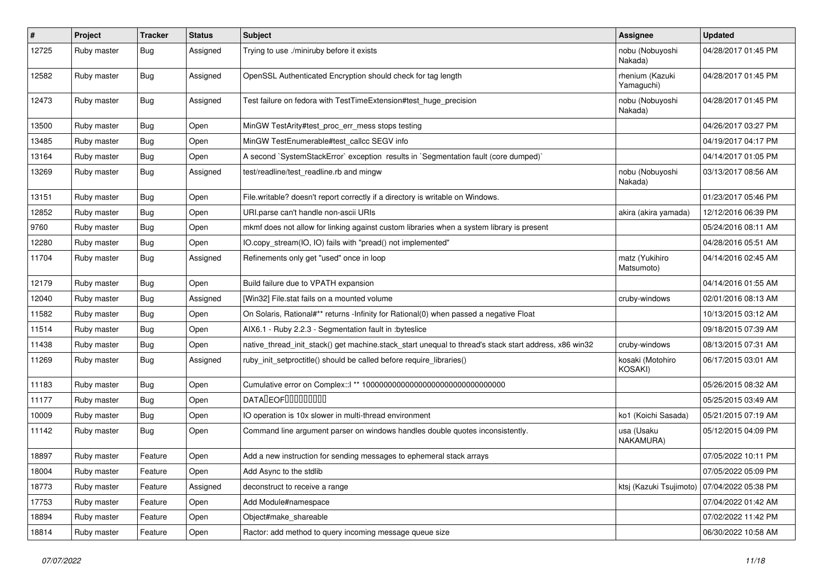| $\sharp$ | Project     | <b>Tracker</b> | <b>Status</b> | <b>Subject</b>                                                                                        | Assignee                      | <b>Updated</b>      |
|----------|-------------|----------------|---------------|-------------------------------------------------------------------------------------------------------|-------------------------------|---------------------|
| 12725    | Ruby master | Bug            | Assigned      | Trying to use ./miniruby before it exists                                                             | nobu (Nobuyoshi<br>Nakada)    | 04/28/2017 01:45 PM |
| 12582    | Ruby master | Bug            | Assigned      | OpenSSL Authenticated Encryption should check for tag length                                          | rhenium (Kazuki<br>Yamaguchi) | 04/28/2017 01:45 PM |
| 12473    | Ruby master | <b>Bug</b>     | Assigned      | Test failure on fedora with TestTimeExtension#test_huge_precision                                     | nobu (Nobuyoshi<br>Nakada)    | 04/28/2017 01:45 PM |
| 13500    | Ruby master | Bug            | Open          | MinGW TestArity#test_proc_err_mess stops testing                                                      |                               | 04/26/2017 03:27 PM |
| 13485    | Ruby master | <b>Bug</b>     | Open          | MinGW TestEnumerable#test callcc SEGV info                                                            |                               | 04/19/2017 04:17 PM |
| 13164    | Ruby master | Bug            | Open          | A second `SystemStackError` exception results in `Segmentation fault (core dumped)`                   |                               | 04/14/2017 01:05 PM |
| 13269    | Ruby master | Bug            | Assigned      | test/readline/test_readline.rb and mingw                                                              | nobu (Nobuyoshi<br>Nakada)    | 03/13/2017 08:56 AM |
| 13151    | Ruby master | <b>Bug</b>     | Open          | File.writable? doesn't report correctly if a directory is writable on Windows.                        |                               | 01/23/2017 05:46 PM |
| 12852    | Ruby master | <b>Bug</b>     | Open          | URI.parse can't handle non-ascii URIs                                                                 | akira (akira yamada)          | 12/12/2016 06:39 PM |
| 9760     | Ruby master | Bug            | Open          | mkmf does not allow for linking against custom libraries when a system library is present             |                               | 05/24/2016 08:11 AM |
| 12280    | Ruby master | <b>Bug</b>     | Open          | IO.copy_stream(IO, IO) fails with "pread() not implemented"                                           |                               | 04/28/2016 05:51 AM |
| 11704    | Ruby master | Bug            | Assigned      | Refinements only get "used" once in loop                                                              | matz (Yukihiro<br>Matsumoto)  | 04/14/2016 02:45 AM |
| 12179    | Ruby master | Bug            | Open          | Build failure due to VPATH expansion                                                                  |                               | 04/14/2016 01:55 AM |
| 12040    | Ruby master | Bug            | Assigned      | [Win32] File.stat fails on a mounted volume                                                           | cruby-windows                 | 02/01/2016 08:13 AM |
| 11582    | Ruby master | <b>Bug</b>     | Open          | On Solaris, Rational#** returns -Infinity for Rational(0) when passed a negative Float                |                               | 10/13/2015 03:12 AM |
| 11514    | Ruby master | <b>Bug</b>     | Open          | AIX6.1 - Ruby 2.2.3 - Segmentation fault in : byteslice                                               |                               | 09/18/2015 07:39 AM |
| 11438    | Ruby master | <b>Bug</b>     | Open          | native_thread_init_stack() get machine.stack_start unequal to thread's stack start address, x86 win32 | cruby-windows                 | 08/13/2015 07:31 AM |
| 11269    | Ruby master | <b>Bug</b>     | Assigned      | ruby_init_setproctitle() should be called before require_libraries()                                  | kosaki (Motohiro<br>KOSAKI)   | 06/17/2015 03:01 AM |
| 11183    | Ruby master | <b>Bug</b>     | Open          |                                                                                                       |                               | 05/26/2015 08:32 AM |
| 11177    | Ruby master | Bug            | Open          | <b>DATALEOFILILILILILILI</b>                                                                          |                               | 05/25/2015 03:49 AM |
| 10009    | Ruby master | Bug            | Open          | IO operation is 10x slower in multi-thread environment                                                | ko1 (Koichi Sasada)           | 05/21/2015 07:19 AM |
| 11142    | Ruby master | Bug            | Open          | Command line argument parser on windows handles double quotes inconsistently.                         | usa (Usaku<br>NAKAMURA)       | 05/12/2015 04:09 PM |
| 18897    | Ruby master | Feature        | Open          | Add a new instruction for sending messages to ephemeral stack arrays                                  |                               | 07/05/2022 10:11 PM |
| 18004    | Ruby master | Feature        | Open          | Add Async to the stdlib                                                                               |                               | 07/05/2022 05:09 PM |
| 18773    | Ruby master | Feature        | Assigned      | deconstruct to receive a range                                                                        | ktsj (Kazuki Tsujimoto)       | 07/04/2022 05:38 PM |
| 17753    | Ruby master | Feature        | Open          | Add Module#namespace                                                                                  |                               | 07/04/2022 01:42 AM |
| 18894    | Ruby master | Feature        | Open          | Object#make_shareable                                                                                 |                               | 07/02/2022 11:42 PM |
| 18814    | Ruby master | Feature        | Open          | Ractor: add method to query incoming message queue size                                               |                               | 06/30/2022 10:58 AM |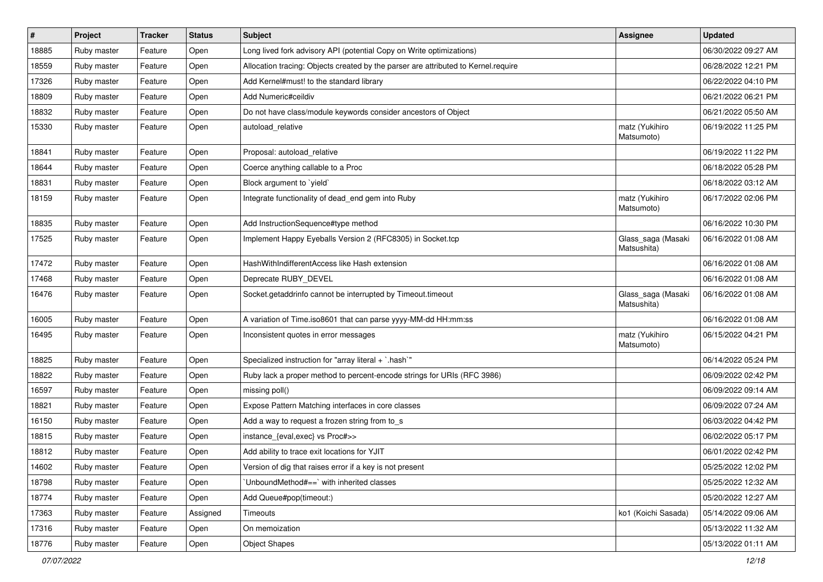| #     | Project     | <b>Tracker</b> | <b>Status</b> | Subject                                                                            | <b>Assignee</b>                   | <b>Updated</b>      |
|-------|-------------|----------------|---------------|------------------------------------------------------------------------------------|-----------------------------------|---------------------|
| 18885 | Ruby master | Feature        | Open          | Long lived fork advisory API (potential Copy on Write optimizations)               |                                   | 06/30/2022 09:27 AM |
| 18559 | Ruby master | Feature        | Open          | Allocation tracing: Objects created by the parser are attributed to Kernel.require |                                   | 06/28/2022 12:21 PM |
| 17326 | Ruby master | Feature        | Open          | Add Kernel#must! to the standard library                                           |                                   | 06/22/2022 04:10 PM |
| 18809 | Ruby master | Feature        | Open          | Add Numeric#ceildiv                                                                |                                   | 06/21/2022 06:21 PM |
| 18832 | Ruby master | Feature        | Open          | Do not have class/module keywords consider ancestors of Object                     |                                   | 06/21/2022 05:50 AM |
| 15330 | Ruby master | Feature        | Open          | autoload_relative                                                                  | matz (Yukihiro<br>Matsumoto)      | 06/19/2022 11:25 PM |
| 18841 | Ruby master | Feature        | Open          | Proposal: autoload relative                                                        |                                   | 06/19/2022 11:22 PM |
| 18644 | Ruby master | Feature        | Open          | Coerce anything callable to a Proc                                                 |                                   | 06/18/2022 05:28 PM |
| 18831 | Ruby master | Feature        | Open          | Block argument to 'yield'                                                          |                                   | 06/18/2022 03:12 AM |
| 18159 | Ruby master | Feature        | Open          | Integrate functionality of dead_end gem into Ruby                                  | matz (Yukihiro<br>Matsumoto)      | 06/17/2022 02:06 PM |
| 18835 | Ruby master | Feature        | Open          | Add InstructionSequence#type method                                                |                                   | 06/16/2022 10:30 PM |
| 17525 | Ruby master | Feature        | Open          | Implement Happy Eyeballs Version 2 (RFC8305) in Socket.tcp                         | Glass_saga (Masaki<br>Matsushita) | 06/16/2022 01:08 AM |
| 17472 | Ruby master | Feature        | Open          | HashWithIndifferentAccess like Hash extension                                      |                                   | 06/16/2022 01:08 AM |
| 17468 | Ruby master | Feature        | Open          | Deprecate RUBY_DEVEL                                                               |                                   | 06/16/2022 01:08 AM |
| 16476 | Ruby master | Feature        | Open          | Socket.getaddrinfo cannot be interrupted by Timeout.timeout                        | Glass_saga (Masaki<br>Matsushita) | 06/16/2022 01:08 AM |
| 16005 | Ruby master | Feature        | Open          | A variation of Time.iso8601 that can parse yyyy-MM-dd HH:mm:ss                     |                                   | 06/16/2022 01:08 AM |
| 16495 | Ruby master | Feature        | Open          | Inconsistent quotes in error messages                                              | matz (Yukihiro<br>Matsumoto)      | 06/15/2022 04:21 PM |
| 18825 | Ruby master | Feature        | Open          | Specialized instruction for "array literal + `.hash`"                              |                                   | 06/14/2022 05:24 PM |
| 18822 | Ruby master | Feature        | Open          | Ruby lack a proper method to percent-encode strings for URIs (RFC 3986)            |                                   | 06/09/2022 02:42 PM |
| 16597 | Ruby master | Feature        | Open          | missing poll()                                                                     |                                   | 06/09/2022 09:14 AM |
| 18821 | Ruby master | Feature        | Open          | Expose Pattern Matching interfaces in core classes                                 |                                   | 06/09/2022 07:24 AM |
| 16150 | Ruby master | Feature        | Open          | Add a way to request a frozen string from to_s                                     |                                   | 06/03/2022 04:42 PM |
| 18815 | Ruby master | Feature        | Open          | instance_{eval,exec} vs Proc#>>                                                    |                                   | 06/02/2022 05:17 PM |
| 18812 | Ruby master | Feature        | Open          | Add ability to trace exit locations for YJIT                                       |                                   | 06/01/2022 02:42 PM |
| 14602 | Ruby master | Feature        | Open          | Version of dig that raises error if a key is not present                           |                                   | 05/25/2022 12:02 PM |
| 18798 | Ruby master | Feature        | Open          | 'UnboundMethod#==' with inherited classes                                          |                                   | 05/25/2022 12:32 AM |
| 18774 | Ruby master | Feature        | Open          | Add Queue#pop(timeout:)                                                            |                                   | 05/20/2022 12:27 AM |
| 17363 | Ruby master | Feature        | Assigned      | Timeouts                                                                           | ko1 (Koichi Sasada)               | 05/14/2022 09:06 AM |
| 17316 | Ruby master | Feature        | Open          | On memoization                                                                     |                                   | 05/13/2022 11:32 AM |
| 18776 | Ruby master | Feature        | Open          | <b>Object Shapes</b>                                                               |                                   | 05/13/2022 01:11 AM |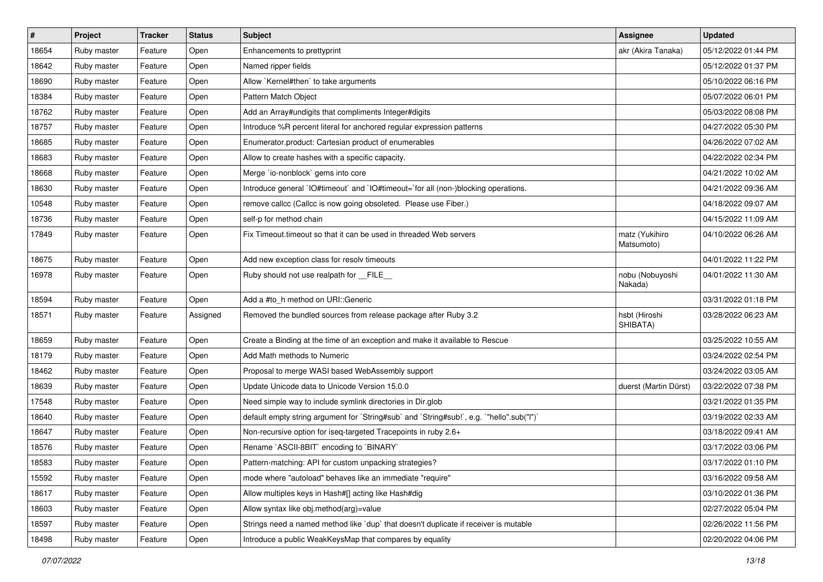| $\sharp$ | Project     | <b>Tracker</b> | <b>Status</b> | <b>Subject</b>                                                                            | <b>Assignee</b>              | <b>Updated</b>      |
|----------|-------------|----------------|---------------|-------------------------------------------------------------------------------------------|------------------------------|---------------------|
| 18654    | Ruby master | Feature        | Open          | Enhancements to prettyprint                                                               | akr (Akira Tanaka)           | 05/12/2022 01:44 PM |
| 18642    | Ruby master | Feature        | Open          | Named ripper fields                                                                       |                              | 05/12/2022 01:37 PM |
| 18690    | Ruby master | Feature        | Open          | Allow `Kernel#then` to take arguments                                                     |                              | 05/10/2022 06:16 PM |
| 18384    | Ruby master | Feature        | Open          | Pattern Match Object                                                                      |                              | 05/07/2022 06:01 PM |
| 18762    | Ruby master | Feature        | Open          | Add an Array#undigits that compliments Integer#digits                                     |                              | 05/03/2022 08:08 PM |
| 18757    | Ruby master | Feature        | Open          | Introduce %R percent literal for anchored regular expression patterns                     |                              | 04/27/2022 05:30 PM |
| 18685    | Ruby master | Feature        | Open          | Enumerator.product: Cartesian product of enumerables                                      |                              | 04/26/2022 07:02 AM |
| 18683    | Ruby master | Feature        | Open          | Allow to create hashes with a specific capacity.                                          |                              | 04/22/2022 02:34 PM |
| 18668    | Ruby master | Feature        | Open          | Merge `io-nonblock` gems into core                                                        |                              | 04/21/2022 10:02 AM |
| 18630    | Ruby master | Feature        | Open          | Introduce general `IO#timeout` and `IO#timeout=`for all (non-)blocking operations.        |                              | 04/21/2022 09:36 AM |
| 10548    | Ruby master | Feature        | Open          | remove callcc (Callcc is now going obsoleted. Please use Fiber.)                          |                              | 04/18/2022 09:07 AM |
| 18736    | Ruby master | Feature        | Open          | self-p for method chain                                                                   |                              | 04/15/2022 11:09 AM |
| 17849    | Ruby master | Feature        | Open          | Fix Timeout.timeout so that it can be used in threaded Web servers                        | matz (Yukihiro<br>Matsumoto) | 04/10/2022 06:26 AM |
| 18675    | Ruby master | Feature        | Open          | Add new exception class for resolv timeouts                                               |                              | 04/01/2022 11:22 PM |
| 16978    | Ruby master | Feature        | Open          | Ruby should not use realpath for FILE                                                     | nobu (Nobuyoshi<br>Nakada)   | 04/01/2022 11:30 AM |
| 18594    | Ruby master | Feature        | Open          | Add a #to_h method on URI::Generic                                                        |                              | 03/31/2022 01:18 PM |
| 18571    | Ruby master | Feature        | Assigned      | Removed the bundled sources from release package after Ruby 3.2                           | hsbt (Hiroshi<br>SHIBATA)    | 03/28/2022 06:23 AM |
| 18659    | Ruby master | Feature        | Open          | Create a Binding at the time of an exception and make it available to Rescue              |                              | 03/25/2022 10:55 AM |
| 18179    | Ruby master | Feature        | Open          | Add Math methods to Numeric                                                               |                              | 03/24/2022 02:54 PM |
| 18462    | Ruby master | Feature        | Open          | Proposal to merge WASI based WebAssembly support                                          |                              | 03/24/2022 03:05 AM |
| 18639    | Ruby master | Feature        | Open          | Update Unicode data to Unicode Version 15.0.0                                             | duerst (Martin Dürst)        | 03/22/2022 07:38 PM |
| 17548    | Ruby master | Feature        | Open          | Need simple way to include symlink directories in Dir.glob                                |                              | 03/21/2022 01:35 PM |
| 18640    | Ruby master | Feature        | Open          | default empty string argument for `String#sub` and `String#sub!`, e.g. `"hello".sub("I")` |                              | 03/19/2022 02:33 AM |
| 18647    | Ruby master | Feature        | Open          | Non-recursive option for iseq-targeted Tracepoints in ruby 2.6+                           |                              | 03/18/2022 09:41 AM |
| 18576    | Ruby master | Feature        | Open          | Rename `ASCII-8BIT` encoding to `BINARY`                                                  |                              | 03/17/2022 03:06 PM |
| 18583    | Ruby master | Feature        | Open          | Pattern-matching: API for custom unpacking strategies?                                    |                              | 03/17/2022 01:10 PM |
| 15592    | Ruby master | Feature        | Open          | mode where "autoload" behaves like an immediate "require"                                 |                              | 03/16/2022 09:58 AM |
| 18617    | Ruby master | Feature        | Open          | Allow multiples keys in Hash#[] acting like Hash#dig                                      |                              | 03/10/2022 01:36 PM |
| 18603    | Ruby master | Feature        | Open          | Allow syntax like obj.method(arg)=value                                                   |                              | 02/27/2022 05:04 PM |
| 18597    | Ruby master | Feature        | Open          | Strings need a named method like 'dup' that doesn't duplicate if receiver is mutable      |                              | 02/26/2022 11:56 PM |
| 18498    | Ruby master | Feature        | Open          | Introduce a public WeakKeysMap that compares by equality                                  |                              | 02/20/2022 04:06 PM |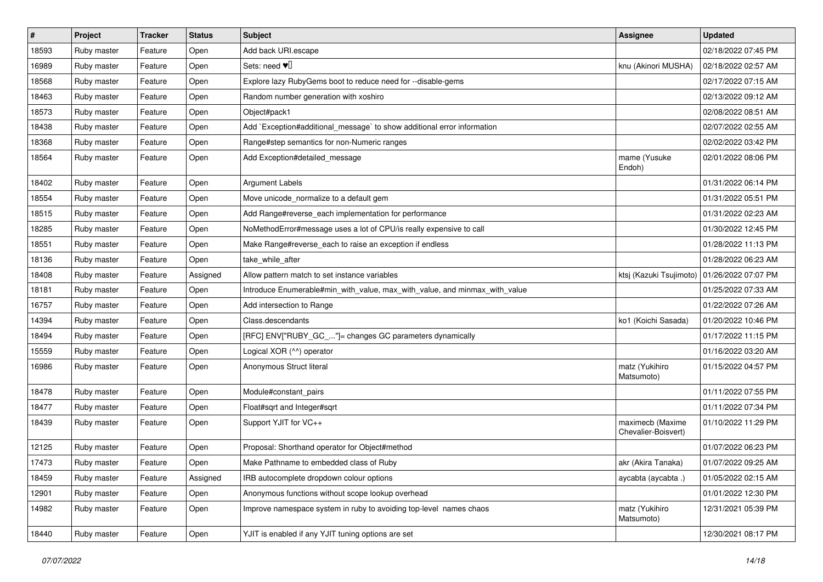| $\sharp$ | Project     | <b>Tracker</b> | <b>Status</b> | Subject                                                                    | <b>Assignee</b>                         | <b>Updated</b>      |
|----------|-------------|----------------|---------------|----------------------------------------------------------------------------|-----------------------------------------|---------------------|
| 18593    | Ruby master | Feature        | Open          | Add back URI.escape                                                        |                                         | 02/18/2022 07:45 PM |
| 16989    | Ruby master | Feature        | Open          | Sets: need $\Psi$ <sup>[]</sup>                                            | knu (Akinori MUSHA)                     | 02/18/2022 02:57 AM |
| 18568    | Ruby master | Feature        | Open          | Explore lazy RubyGems boot to reduce need for --disable-gems               |                                         | 02/17/2022 07:15 AM |
| 18463    | Ruby master | Feature        | Open          | Random number generation with xoshiro                                      |                                         | 02/13/2022 09:12 AM |
| 18573    | Ruby master | Feature        | Open          | Object#pack1                                                               |                                         | 02/08/2022 08:51 AM |
| 18438    | Ruby master | Feature        | Open          | Add `Exception#additional message` to show additional error information    |                                         | 02/07/2022 02:55 AM |
| 18368    | Ruby master | Feature        | Open          | Range#step semantics for non-Numeric ranges                                |                                         | 02/02/2022 03:42 PM |
| 18564    | Ruby master | Feature        | Open          | Add Exception#detailed_message                                             | mame (Yusuke<br>Endoh)                  | 02/01/2022 08:06 PM |
| 18402    | Ruby master | Feature        | Open          | <b>Argument Labels</b>                                                     |                                         | 01/31/2022 06:14 PM |
| 18554    | Ruby master | Feature        | Open          | Move unicode_normalize to a default gem                                    |                                         | 01/31/2022 05:51 PM |
| 18515    | Ruby master | Feature        | Open          | Add Range#reverse_each implementation for performance                      |                                         | 01/31/2022 02:23 AM |
| 18285    | Ruby master | Feature        | Open          | NoMethodError#message uses a lot of CPU/is really expensive to call        |                                         | 01/30/2022 12:45 PM |
| 18551    | Ruby master | Feature        | Open          | Make Range#reverse_each to raise an exception if endless                   |                                         | 01/28/2022 11:13 PM |
| 18136    | Ruby master | Feature        | Open          | take while after                                                           |                                         | 01/28/2022 06:23 AM |
| 18408    | Ruby master | Feature        | Assigned      | Allow pattern match to set instance variables                              | ktsj (Kazuki Tsujimoto)                 | 01/26/2022 07:07 PM |
| 18181    | Ruby master | Feature        | Open          | Introduce Enumerable#min_with_value, max_with_value, and minmax_with_value |                                         | 01/25/2022 07:33 AM |
| 16757    | Ruby master | Feature        | Open          | Add intersection to Range                                                  |                                         | 01/22/2022 07:26 AM |
| 14394    | Ruby master | Feature        | Open          | Class.descendants                                                          | ko1 (Koichi Sasada)                     | 01/20/2022 10:46 PM |
| 18494    | Ruby master | Feature        | Open          | [RFC] ENV["RUBY_GC_"]= changes GC parameters dynamically                   |                                         | 01/17/2022 11:15 PM |
| 15559    | Ruby master | Feature        | Open          | Logical XOR (^^) operator                                                  |                                         | 01/16/2022 03:20 AM |
| 16986    | Ruby master | Feature        | Open          | Anonymous Struct literal                                                   | matz (Yukihiro<br>Matsumoto)            | 01/15/2022 04:57 PM |
| 18478    | Ruby master | Feature        | Open          | Module#constant pairs                                                      |                                         | 01/11/2022 07:55 PM |
| 18477    | Ruby master | Feature        | Open          | Float#sqrt and Integer#sqrt                                                |                                         | 01/11/2022 07:34 PM |
| 18439    | Ruby master | Feature        | Open          | Support YJIT for VC++                                                      | maximecb (Maxime<br>Chevalier-Boisvert) | 01/10/2022 11:29 PM |
| 12125    | Ruby master | Feature        | Open          | Proposal: Shorthand operator for Object#method                             |                                         | 01/07/2022 06:23 PM |
| 17473    | Ruby master | Feature        | Open          | Make Pathname to embedded class of Ruby                                    | akr (Akira Tanaka)                      | 01/07/2022 09:25 AM |
| 18459    | Ruby master | Feature        | Assigned      | IRB autocomplete dropdown colour options                                   | aycabta (aycabta.)                      | 01/05/2022 02:15 AM |
| 12901    | Ruby master | Feature        | Open          | Anonymous functions without scope lookup overhead                          |                                         | 01/01/2022 12:30 PM |
| 14982    | Ruby master | Feature        | Open          | Improve namespace system in ruby to avoiding top-level names chaos         | matz (Yukihiro<br>Matsumoto)            | 12/31/2021 05:39 PM |
| 18440    | Ruby master | Feature        | Open          | YJIT is enabled if any YJIT tuning options are set                         |                                         | 12/30/2021 08:17 PM |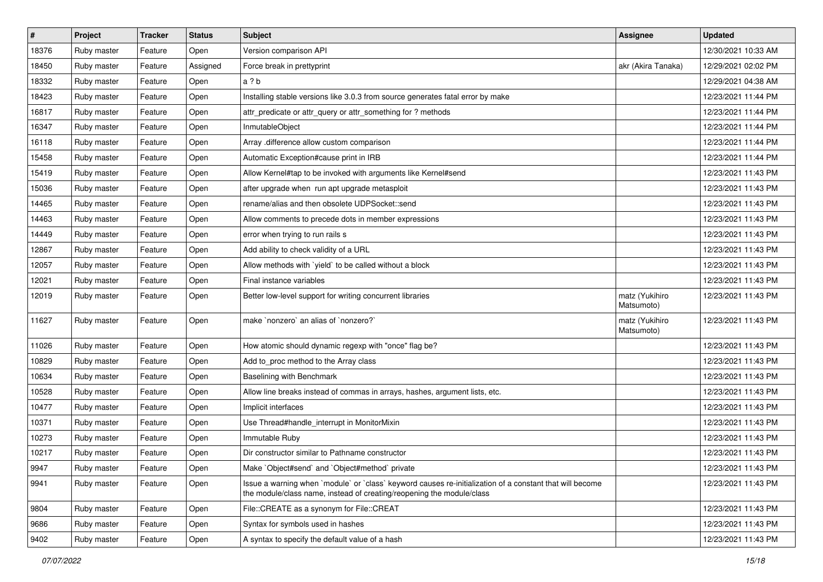| #     | Project     | <b>Tracker</b> | <b>Status</b> | <b>Subject</b>                                                                                                                                                                    | <b>Assignee</b>              | <b>Updated</b>      |
|-------|-------------|----------------|---------------|-----------------------------------------------------------------------------------------------------------------------------------------------------------------------------------|------------------------------|---------------------|
| 18376 | Ruby master | Feature        | Open          | Version comparison API                                                                                                                                                            |                              | 12/30/2021 10:33 AM |
| 18450 | Ruby master | Feature        | Assigned      | Force break in prettyprint                                                                                                                                                        | akr (Akira Tanaka)           | 12/29/2021 02:02 PM |
| 18332 | Ruby master | Feature        | Open          | a ? b                                                                                                                                                                             |                              | 12/29/2021 04:38 AM |
| 18423 | Ruby master | Feature        | Open          | Installing stable versions like 3.0.3 from source generates fatal error by make                                                                                                   |                              | 12/23/2021 11:44 PM |
| 16817 | Ruby master | Feature        | Open          | attr_predicate or attr_query or attr_something for ? methods                                                                                                                      |                              | 12/23/2021 11:44 PM |
| 16347 | Ruby master | Feature        | Open          | InmutableObject                                                                                                                                                                   |                              | 12/23/2021 11:44 PM |
| 16118 | Ruby master | Feature        | Open          | Array .difference allow custom comparison                                                                                                                                         |                              | 12/23/2021 11:44 PM |
| 15458 | Ruby master | Feature        | Open          | Automatic Exception#cause print in IRB                                                                                                                                            |                              | 12/23/2021 11:44 PM |
| 15419 | Ruby master | Feature        | Open          | Allow Kernel#tap to be invoked with arguments like Kernel#send                                                                                                                    |                              | 12/23/2021 11:43 PM |
| 15036 | Ruby master | Feature        | Open          | after upgrade when run apt upgrade metasploit                                                                                                                                     |                              | 12/23/2021 11:43 PM |
| 14465 | Ruby master | Feature        | Open          | rename/alias and then obsolete UDPSocket::send                                                                                                                                    |                              | 12/23/2021 11:43 PM |
| 14463 | Ruby master | Feature        | Open          | Allow comments to precede dots in member expressions                                                                                                                              |                              | 12/23/2021 11:43 PM |
| 14449 | Ruby master | Feature        | Open          | error when trying to run rails s                                                                                                                                                  |                              | 12/23/2021 11:43 PM |
| 12867 | Ruby master | Feature        | Open          | Add ability to check validity of a URL                                                                                                                                            |                              | 12/23/2021 11:43 PM |
| 12057 | Ruby master | Feature        | Open          | Allow methods with `yield` to be called without a block                                                                                                                           |                              | 12/23/2021 11:43 PM |
| 12021 | Ruby master | Feature        | Open          | Final instance variables                                                                                                                                                          |                              | 12/23/2021 11:43 PM |
| 12019 | Ruby master | Feature        | Open          | Better low-level support for writing concurrent libraries                                                                                                                         | matz (Yukihiro<br>Matsumoto) | 12/23/2021 11:43 PM |
| 11627 | Ruby master | Feature        | Open          | make `nonzero` an alias of `nonzero?`                                                                                                                                             | matz (Yukihiro<br>Matsumoto) | 12/23/2021 11:43 PM |
| 11026 | Ruby master | Feature        | Open          | How atomic should dynamic regexp with "once" flag be?                                                                                                                             |                              | 12/23/2021 11:43 PM |
| 10829 | Ruby master | Feature        | Open          | Add to_proc method to the Array class                                                                                                                                             |                              | 12/23/2021 11:43 PM |
| 10634 | Ruby master | Feature        | Open          | Baselining with Benchmark                                                                                                                                                         |                              | 12/23/2021 11:43 PM |
| 10528 | Ruby master | Feature        | Open          | Allow line breaks instead of commas in arrays, hashes, argument lists, etc.                                                                                                       |                              | 12/23/2021 11:43 PM |
| 10477 | Ruby master | Feature        | Open          | Implicit interfaces                                                                                                                                                               |                              | 12/23/2021 11:43 PM |
| 10371 | Ruby master | Feature        | Open          | Use Thread#handle_interrupt in MonitorMixin                                                                                                                                       |                              | 12/23/2021 11:43 PM |
| 10273 | Ruby master | Feature        | Open          | Immutable Ruby                                                                                                                                                                    |                              | 12/23/2021 11:43 PM |
| 10217 | Ruby master | Feature        | Open          | Dir constructor similar to Pathname constructor                                                                                                                                   |                              | 12/23/2021 11:43 PM |
| 9947  | Ruby master | Feature        | Open          | Make `Object#send` and `Object#method` private                                                                                                                                    |                              | 12/23/2021 11:43 PM |
| 9941  | Ruby master | Feature        | Open          | Issue a warning when `module` or `class` keyword causes re-initialization of a constant that will become<br>the module/class name, instead of creating/reopening the module/class |                              | 12/23/2021 11:43 PM |
| 9804  | Ruby master | Feature        | Open          | File::CREATE as a synonym for File::CREAT                                                                                                                                         |                              | 12/23/2021 11:43 PM |
| 9686  | Ruby master | Feature        | Open          | Syntax for symbols used in hashes                                                                                                                                                 |                              | 12/23/2021 11:43 PM |
| 9402  | Ruby master | Feature        | Open          | A syntax to specify the default value of a hash                                                                                                                                   |                              | 12/23/2021 11:43 PM |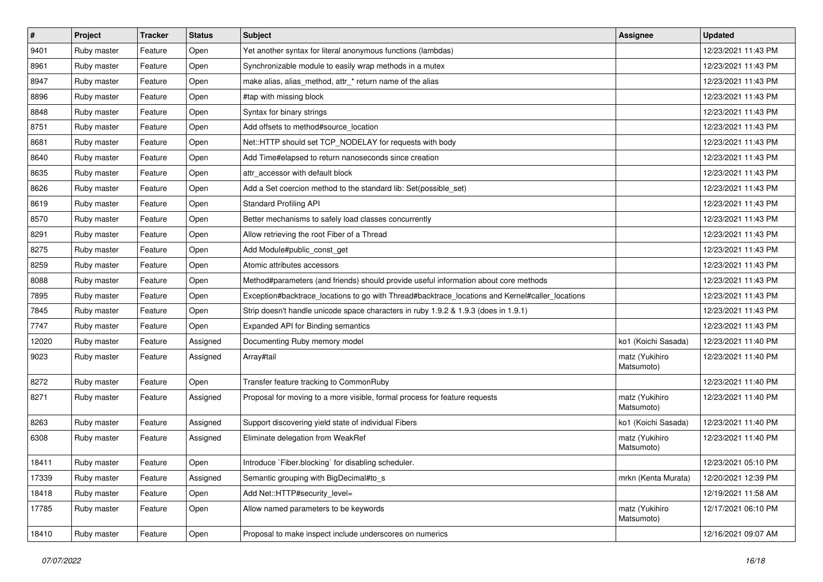| $\pmb{\#}$ | Project     | <b>Tracker</b> | <b>Status</b> | Subject                                                                                         | <b>Assignee</b>              | <b>Updated</b>      |
|------------|-------------|----------------|---------------|-------------------------------------------------------------------------------------------------|------------------------------|---------------------|
| 9401       | Ruby master | Feature        | Open          | Yet another syntax for literal anonymous functions (lambdas)                                    |                              | 12/23/2021 11:43 PM |
| 8961       | Ruby master | Feature        | Open          | Synchronizable module to easily wrap methods in a mutex                                         |                              | 12/23/2021 11:43 PM |
| 8947       | Ruby master | Feature        | Open          | make alias, alias_method, attr_* return name of the alias                                       |                              | 12/23/2021 11:43 PM |
| 8896       | Ruby master | Feature        | Open          | #tap with missing block                                                                         |                              | 12/23/2021 11:43 PM |
| 8848       | Ruby master | Feature        | Open          | Syntax for binary strings                                                                       |                              | 12/23/2021 11:43 PM |
| 8751       | Ruby master | Feature        | Open          | Add offsets to method#source_location                                                           |                              | 12/23/2021 11:43 PM |
| 8681       | Ruby master | Feature        | Open          | Net::HTTP should set TCP_NODELAY for requests with body                                         |                              | 12/23/2021 11:43 PM |
| 8640       | Ruby master | Feature        | Open          | Add Time#elapsed to return nanoseconds since creation                                           |                              | 12/23/2021 11:43 PM |
| 8635       | Ruby master | Feature        | Open          | attr accessor with default block                                                                |                              | 12/23/2021 11:43 PM |
| 8626       | Ruby master | Feature        | Open          | Add a Set coercion method to the standard lib: Set(possible_set)                                |                              | 12/23/2021 11:43 PM |
| 8619       | Ruby master | Feature        | Open          | <b>Standard Profiling API</b>                                                                   |                              | 12/23/2021 11:43 PM |
| 8570       | Ruby master | Feature        | Open          | Better mechanisms to safely load classes concurrently                                           |                              | 12/23/2021 11:43 PM |
| 8291       | Ruby master | Feature        | Open          | Allow retrieving the root Fiber of a Thread                                                     |                              | 12/23/2021 11:43 PM |
| 8275       | Ruby master | Feature        | Open          | Add Module#public_const_get                                                                     |                              | 12/23/2021 11:43 PM |
| 8259       | Ruby master | Feature        | Open          | Atomic attributes accessors                                                                     |                              | 12/23/2021 11:43 PM |
| 8088       | Ruby master | Feature        | Open          | Method#parameters (and friends) should provide useful information about core methods            |                              | 12/23/2021 11:43 PM |
| 7895       | Ruby master | Feature        | Open          | Exception#backtrace_locations to go with Thread#backtrace_locations and Kernel#caller_locations |                              | 12/23/2021 11:43 PM |
| 7845       | Ruby master | Feature        | Open          | Strip doesn't handle unicode space characters in ruby 1.9.2 & 1.9.3 (does in 1.9.1)             |                              | 12/23/2021 11:43 PM |
| 7747       | Ruby master | Feature        | Open          | Expanded API for Binding semantics                                                              |                              | 12/23/2021 11:43 PM |
| 12020      | Ruby master | Feature        | Assigned      | Documenting Ruby memory model                                                                   | ko1 (Koichi Sasada)          | 12/23/2021 11:40 PM |
| 9023       | Ruby master | Feature        | Assigned      | Array#tail                                                                                      | matz (Yukihiro<br>Matsumoto) | 12/23/2021 11:40 PM |
| 8272       | Ruby master | Feature        | Open          | Transfer feature tracking to CommonRuby                                                         |                              | 12/23/2021 11:40 PM |
| 8271       | Ruby master | Feature        | Assigned      | Proposal for moving to a more visible, formal process for feature requests                      | matz (Yukihiro<br>Matsumoto) | 12/23/2021 11:40 PM |
| 8263       | Ruby master | Feature        | Assigned      | Support discovering yield state of individual Fibers                                            | ko1 (Koichi Sasada)          | 12/23/2021 11:40 PM |
| 6308       | Ruby master | Feature        | Assigned      | Eliminate delegation from WeakRef                                                               | matz (Yukihiro<br>Matsumoto) | 12/23/2021 11:40 PM |
| 18411      | Ruby master | Feature        | Open          | Introduce `Fiber.blocking` for disabling scheduler.                                             |                              | 12/23/2021 05:10 PM |
| 17339      | Ruby master | Feature        | Assigned      | Semantic grouping with BigDecimal#to_s                                                          | mrkn (Kenta Murata)          | 12/20/2021 12:39 PM |
| 18418      | Ruby master | Feature        | Open          | Add Net::HTTP#security_level=                                                                   |                              | 12/19/2021 11:58 AM |
| 17785      | Ruby master | Feature        | Open          | Allow named parameters to be keywords                                                           | matz (Yukihiro<br>Matsumoto) | 12/17/2021 06:10 PM |
| 18410      | Ruby master | Feature        | Open          | Proposal to make inspect include underscores on numerics                                        |                              | 12/16/2021 09:07 AM |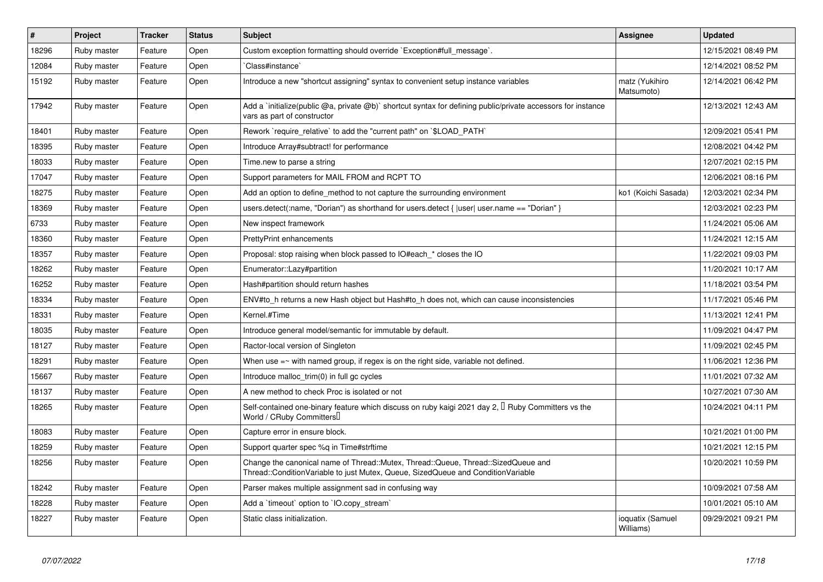| $\vert$ # | Project     | <b>Tracker</b> | <b>Status</b> | <b>Subject</b>                                                                                                                                                        | Assignee                      | <b>Updated</b>      |
|-----------|-------------|----------------|---------------|-----------------------------------------------------------------------------------------------------------------------------------------------------------------------|-------------------------------|---------------------|
| 18296     | Ruby master | Feature        | Open          | Custom exception formatting should override `Exception#full_message`.                                                                                                 |                               | 12/15/2021 08:49 PM |
| 12084     | Ruby master | Feature        | Open          | Class#instance`                                                                                                                                                       |                               | 12/14/2021 08:52 PM |
| 15192     | Ruby master | Feature        | Open          | Introduce a new "shortcut assigning" syntax to convenient setup instance variables                                                                                    | matz (Yukihiro<br>Matsumoto)  | 12/14/2021 06:42 PM |
| 17942     | Ruby master | Feature        | Open          | Add a `initialize(public @a, private @b)` shortcut syntax for defining public/private accessors for instance<br>vars as part of constructor                           |                               | 12/13/2021 12:43 AM |
| 18401     | Ruby master | Feature        | Open          | Rework `require relative` to add the "current path" on `\$LOAD PATH`                                                                                                  |                               | 12/09/2021 05:41 PM |
| 18395     | Ruby master | Feature        | Open          | Introduce Array#subtract! for performance                                                                                                                             |                               | 12/08/2021 04:42 PM |
| 18033     | Ruby master | Feature        | Open          | Time.new to parse a string                                                                                                                                            |                               | 12/07/2021 02:15 PM |
| 17047     | Ruby master | Feature        | Open          | Support parameters for MAIL FROM and RCPT TO                                                                                                                          |                               | 12/06/2021 08:16 PM |
| 18275     | Ruby master | Feature        | Open          | Add an option to define method to not capture the surrounding environment                                                                                             | ko1 (Koichi Sasada)           | 12/03/2021 02:34 PM |
| 18369     | Ruby master | Feature        | Open          | users.detect(:name, "Dorian") as shorthand for users.detect { $ user $ user.name == "Dorian" }                                                                        |                               | 12/03/2021 02:23 PM |
| 6733      | Ruby master | Feature        | Open          | New inspect framework                                                                                                                                                 |                               | 11/24/2021 05:06 AM |
| 18360     | Ruby master | Feature        | Open          | <b>PrettyPrint enhancements</b>                                                                                                                                       |                               | 11/24/2021 12:15 AM |
| 18357     | Ruby master | Feature        | Open          | Proposal: stop raising when block passed to IO#each * closes the IO                                                                                                   |                               | 11/22/2021 09:03 PM |
| 18262     | Ruby master | Feature        | Open          | Enumerator::Lazy#partition                                                                                                                                            |                               | 11/20/2021 10:17 AM |
| 16252     | Ruby master | Feature        | Open          | Hash#partition should return hashes                                                                                                                                   |                               | 11/18/2021 03:54 PM |
| 18334     | Ruby master | Feature        | Open          | ENV#to h returns a new Hash object but Hash#to h does not, which can cause inconsistencies                                                                            |                               | 11/17/2021 05:46 PM |
| 18331     | Ruby master | Feature        | Open          | Kernel.#Time                                                                                                                                                          |                               | 11/13/2021 12:41 PM |
| 18035     | Ruby master | Feature        | Open          | Introduce general model/semantic for immutable by default.                                                                                                            |                               | 11/09/2021 04:47 PM |
| 18127     | Ruby master | Feature        | Open          | Ractor-local version of Singleton                                                                                                                                     |                               | 11/09/2021 02:45 PM |
| 18291     | Ruby master | Feature        | Open          | When use $=$ with named group, if regex is on the right side, variable not defined.                                                                                   |                               | 11/06/2021 12:36 PM |
| 15667     | Ruby master | Feature        | Open          | Introduce malloc_trim(0) in full gc cycles                                                                                                                            |                               | 11/01/2021 07:32 AM |
| 18137     | Ruby master | Feature        | Open          | A new method to check Proc is isolated or not                                                                                                                         |                               | 10/27/2021 07:30 AM |
| 18265     | Ruby master | Feature        | Open          | Self-contained one-binary feature which discuss on ruby kaigi 2021 day 2, $\Box$ Ruby Committers vs the<br>World / CRuby Committers                                   |                               | 10/24/2021 04:11 PM |
| 18083     | Ruby master | Feature        | Open          | Capture error in ensure block.                                                                                                                                        |                               | 10/21/2021 01:00 PM |
| 18259     | Ruby master | Feature        | Open          | Support quarter spec %q in Time#strftime                                                                                                                              |                               | 10/21/2021 12:15 PM |
| 18256     | Ruby master | Feature        | Open          | Change the canonical name of Thread::Mutex, Thread::Queue, Thread::SizedQueue and<br>Thread::ConditionVariable to just Mutex, Queue, SizedQueue and ConditionVariable |                               | 10/20/2021 10:59 PM |
| 18242     | Ruby master | Feature        | Open          | Parser makes multiple assignment sad in confusing way                                                                                                                 |                               | 10/09/2021 07:58 AM |
| 18228     | Ruby master | Feature        | Open          | Add a 'timeout' option to 'IO.copy stream'                                                                                                                            |                               | 10/01/2021 05:10 AM |
| 18227     | Ruby master | Feature        | Open          | Static class initialization.                                                                                                                                          | ioquatix (Samuel<br>Williams) | 09/29/2021 09:21 PM |